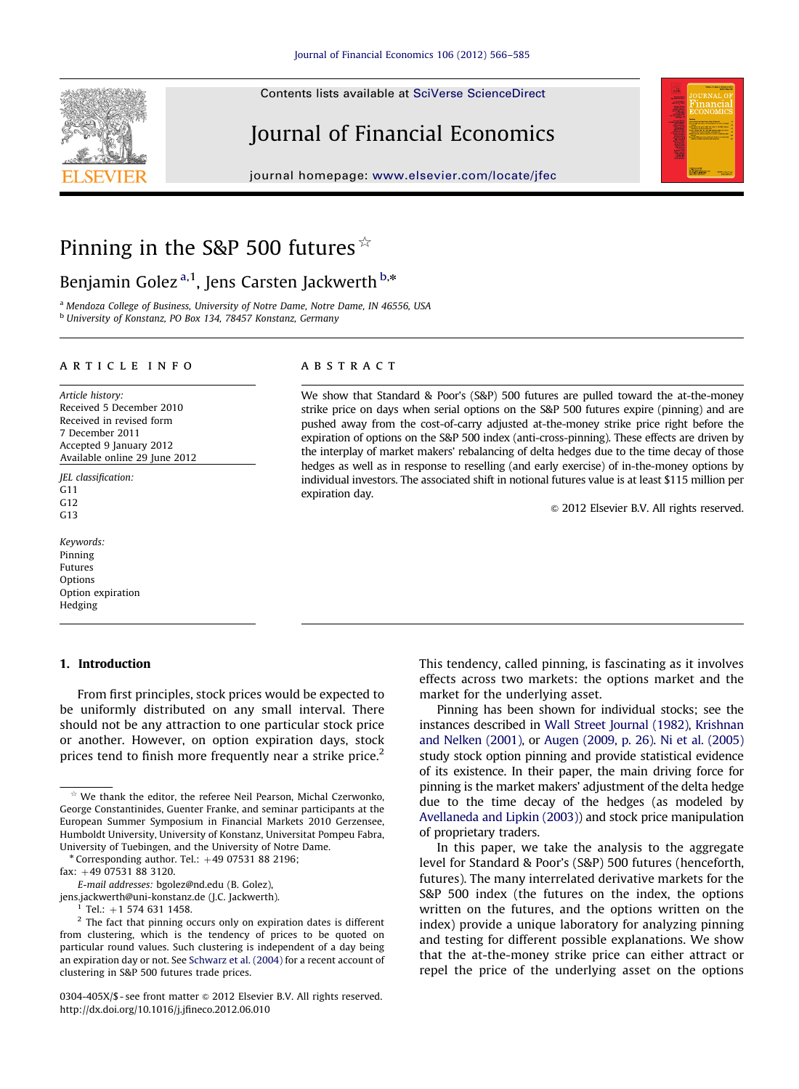Contents lists available at [SciVerse ScienceDirect](www.elsevier.com/locate/jfec)

# Journal of Financial Economics

journal homepage: <www.elsevier.com/locate/jfec>



## Pinning in the S&P 500 futures  $\dot{x}$

## Benjamin Golez<sup>a,1</sup>, Jens Carsten Jackwerth<sup>b,\*</sup>

<sup>a</sup> Mendoza College of Business, University of Notre Dame, Notre Dame, IN 46556, USA <sup>b</sup> University of Konstanz, PO Box 134, 78457 Konstanz, Germany

#### article info

Article history: Received 5 December 2010 Received in revised form 7 December 2011 Accepted 9 January 2012 Available online 29 June 2012

JEL classification: G11 G<sub>12</sub>  $G<sub>13</sub>$ 

Keywords: Pinning Futures **Options** Option expiration Hedging

#### 1. Introduction

From first principles, stock prices would be expected to be uniformly distributed on any small interval. There should not be any attraction to one particular stock price or another. However, on option expiration days, stock prices tend to finish more frequently near a strike price.<sup>2</sup>

0304-405X/\$ - see front matter  $\odot$  2012 Elsevier B.V. All rights reserved. [http://dx.doi.org/10.1016/j.jfineco.2012.06.010](dx.doi.org/10.1016/j.jfineco.2012.06.010)

## **ABSTRACT**

We show that Standard & Poor's (S&P) 500 futures are pulled toward the at-the-money strike price on days when serial options on the S&P 500 futures expire (pinning) and are pushed away from the cost-of-carry adjusted at-the-money strike price right before the expiration of options on the S&P 500 index (anti-cross-pinning). These effects are driven by the interplay of market makers' rebalancing of delta hedges due to the time decay of those hedges as well as in response to reselling (and early exercise) of in-the-money options by individual investors. The associated shift in notional futures value is at least \$115 million per expiration day.

 $\odot$  2012 Elsevier B.V. All rights reserved.

This tendency, called pinning, is fascinating as it involves effects across two markets: the options market and the market for the underlying asset.

Pinning has been shown for individual stocks; see the instances described in [Wall Street Journal \(1982\)](#page-19-0), [Krishnan](#page-18-0) [and Nelken \(2001\),](#page-18-0) or [Augen \(2009, p. 26\)](#page-18-0). [Ni et al. \(2005\)](#page-18-0) study stock option pinning and provide statistical evidence of its existence. In their paper, the main driving force for pinning is the market makers' adjustment of the delta hedge due to the time decay of the hedges (as modeled by [Avellaneda and Lipkin \(2003\)](#page-18-0)) and stock price manipulation of proprietary traders.

In this paper, we take the analysis to the aggregate level for Standard & Poor's (S&P) 500 futures (henceforth, futures). The many interrelated derivative markets for the S&P 500 index (the futures on the index, the options written on the futures, and the options written on the index) provide a unique laboratory for analyzing pinning and testing for different possible explanations. We show that the at-the-money strike price can either attract or repel the price of the underlying asset on the options

We thank the editor, the referee Neil Pearson, Michal Czerwonko, George Constantinides, Guenter Franke, and seminar participants at the European Summer Symposium in Financial Markets 2010 Gerzensee, Humboldt University, University of Konstanz, Universitat Pompeu Fabra, University of Tuebingen, and the University of Notre Dame.

 $*$  Corresponding author. Tel.:  $+49$  07531 88 2196;

 $fax: +49.07531.88.3120.$ 

E-mail addresses: [bgolez@nd.edu \(B. Golez\),](mailto:bgolez@nd.edu)

[jens.jackwerth@uni-konstanz.de \(J.C. Jackwerth\)](mailto:jens.jackwerth@uni-konstanz.de).

Tel.:  $+1$  574 631 1458.

<sup>&</sup>lt;sup>2</sup> The fact that pinning occurs only on expiration dates is different from clustering, which is the tendency of prices to be quoted on particular round values. Such clustering is independent of a day being an expiration day or not. See [Schwarz et al. \(2004\)](#page-19-0) for a recent account of clustering in S&P 500 futures trade prices.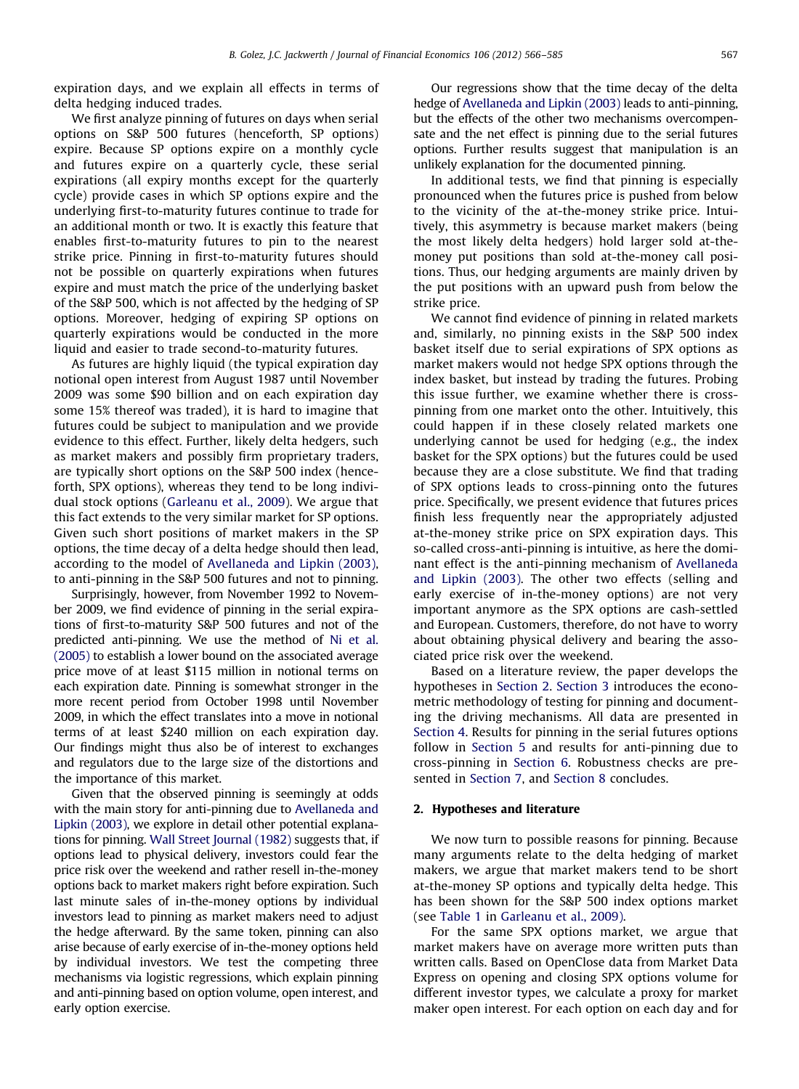<span id="page-1-0"></span>expiration days, and we explain all effects in terms of delta hedging induced trades.

We first analyze pinning of futures on days when serial options on S&P 500 futures (henceforth, SP options) expire. Because SP options expire on a monthly cycle and futures expire on a quarterly cycle, these serial expirations (all expiry months except for the quarterly cycle) provide cases in which SP options expire and the underlying first-to-maturity futures continue to trade for an additional month or two. It is exactly this feature that enables first-to-maturity futures to pin to the nearest strike price. Pinning in first-to-maturity futures should not be possible on quarterly expirations when futures expire and must match the price of the underlying basket of the S&P 500, which is not affected by the hedging of SP options. Moreover, hedging of expiring SP options on quarterly expirations would be conducted in the more liquid and easier to trade second-to-maturity futures.

As futures are highly liquid (the typical expiration day notional open interest from August 1987 until November 2009 was some \$90 billion and on each expiration day some 15% thereof was traded), it is hard to imagine that futures could be subject to manipulation and we provide evidence to this effect. Further, likely delta hedgers, such as market makers and possibly firm proprietary traders, are typically short options on the S&P 500 index (henceforth, SPX options), whereas they tend to be long individual stock options ([Garleanu et al., 2009](#page-18-0)). We argue that this fact extends to the very similar market for SP options. Given such short positions of market makers in the SP options, the time decay of a delta hedge should then lead, according to the model of [Avellaneda and Lipkin \(2003\)](#page-18-0), to anti-pinning in the S&P 500 futures and not to pinning.

Surprisingly, however, from November 1992 to November 2009, we find evidence of pinning in the serial expirations of first-to-maturity S&P 500 futures and not of the predicted anti-pinning. We use the method of [Ni et al.](#page-18-0) [\(2005\)](#page-18-0) to establish a lower bound on the associated average price move of at least \$115 million in notional terms on each expiration date. Pinning is somewhat stronger in the more recent period from October 1998 until November 2009, in which the effect translates into a move in notional terms of at least \$240 million on each expiration day. Our findings might thus also be of interest to exchanges and regulators due to the large size of the distortions and the importance of this market.

Given that the observed pinning is seemingly at odds with the main story for anti-pinning due to [Avellaneda and](#page-18-0) [Lipkin \(2003\)](#page-18-0), we explore in detail other potential explanations for pinning. [Wall Street Journal \(1982\)](#page-19-0) suggests that, if options lead to physical delivery, investors could fear the price risk over the weekend and rather resell in-the-money options back to market makers right before expiration. Such last minute sales of in-the-money options by individual investors lead to pinning as market makers need to adjust the hedge afterward. By the same token, pinning can also arise because of early exercise of in-the-money options held by individual investors. We test the competing three mechanisms via logistic regressions, which explain pinning and anti-pinning based on option volume, open interest, and early option exercise.

Our regressions show that the time decay of the delta hedge of [Avellaneda and Lipkin \(2003\)](#page-18-0) leads to anti-pinning, but the effects of the other two mechanisms overcompensate and the net effect is pinning due to the serial futures options. Further results suggest that manipulation is an unlikely explanation for the documented pinning.

In additional tests, we find that pinning is especially pronounced when the futures price is pushed from below to the vicinity of the at-the-money strike price. Intuitively, this asymmetry is because market makers (being the most likely delta hedgers) hold larger sold at-themoney put positions than sold at-the-money call positions. Thus, our hedging arguments are mainly driven by the put positions with an upward push from below the strike price.

We cannot find evidence of pinning in related markets and, similarly, no pinning exists in the S&P 500 index basket itself due to serial expirations of SPX options as market makers would not hedge SPX options through the index basket, but instead by trading the futures. Probing this issue further, we examine whether there is crosspinning from one market onto the other. Intuitively, this could happen if in these closely related markets one underlying cannot be used for hedging (e.g., the index basket for the SPX options) but the futures could be used because they are a close substitute. We find that trading of SPX options leads to cross-pinning onto the futures price. Specifically, we present evidence that futures prices finish less frequently near the appropriately adjusted at-the-money strike price on SPX expiration days. This so-called cross-anti-pinning is intuitive, as here the dominant effect is the anti-pinning mechanism of [Avellaneda](#page-18-0) [and Lipkin \(2003\).](#page-18-0) The other two effects (selling and early exercise of in-the-money options) are not very important anymore as the SPX options are cash-settled and European. Customers, therefore, do not have to worry about obtaining physical delivery and bearing the associated price risk over the weekend.

Based on a literature review, the paper develops the hypotheses in Section 2. [Section 3](#page-4-0) introduces the econometric methodology of testing for pinning and documenting the driving mechanisms. All data are presented in [Section 4](#page-5-0). Results for pinning in the serial futures options follow in [Section 5](#page-6-0) and results for anti-pinning due to cross-pinning in [Section 6](#page-13-0). Robustness checks are presented in [Section 7,](#page-15-0) and [Section 8](#page-15-0) concludes.

## 2. Hypotheses and literature

We now turn to possible reasons for pinning. Because many arguments relate to the delta hedging of market makers, we argue that market makers tend to be short at-the-money SP options and typically delta hedge. This has been shown for the S&P 500 index options market (see [Table 1](#page-8-0) in [Garleanu et al., 2009\).](#page-18-0)

For the same SPX options market, we argue that market makers have on average more written puts than written calls. Based on OpenClose data from Market Data Express on opening and closing SPX options volume for different investor types, we calculate a proxy for market maker open interest. For each option on each day and for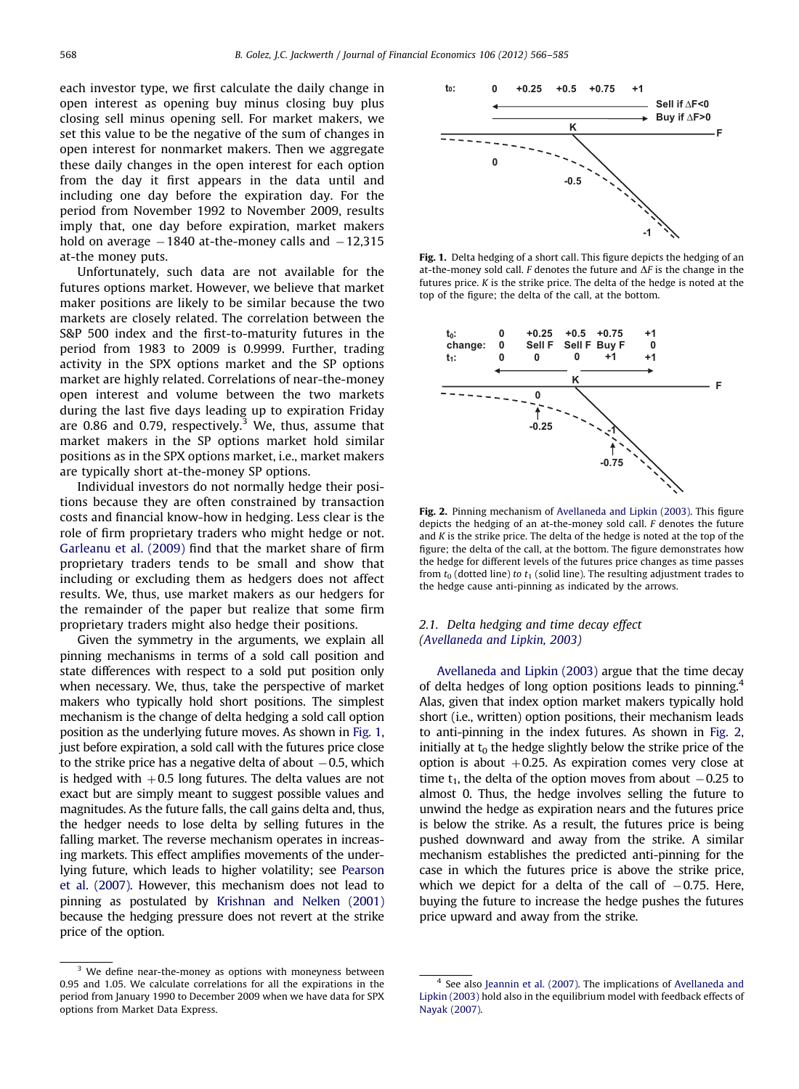each investor type, we first calculate the daily change in open interest as opening buy minus closing buy plus closing sell minus opening sell. For market makers, we set this value to be the negative of the sum of changes in open interest for nonmarket makers. Then we aggregate these daily changes in the open interest for each option from the day it first appears in the data until and including one day before the expiration day. For the period from November 1992 to November 2009, results imply that, one day before expiration, market makers hold on average –1840 at-the-money calls and –12,315 at-the money puts.

Unfortunately, such data are not available for the futures options market. However, we believe that market maker positions are likely to be similar because the two markets are closely related. The correlation between the S&P 500 index and the first-to-maturity futures in the period from 1983 to 2009 is 0.9999. Further, trading activity in the SPX options market and the SP options market are highly related. Correlations of near-the-money open interest and volume between the two markets during the last five days leading up to expiration Friday are 0.86 and 0.79, respectively. $3$  We, thus, assume that market makers in the SP options market hold similar positions as in the SPX options market, i.e., market makers are typically short at-the-money SP options.

Individual investors do not normally hedge their positions because they are often constrained by transaction costs and financial know-how in hedging. Less clear is the role of firm proprietary traders who might hedge or not. [Garleanu et al. \(2009\)](#page-18-0) find that the market share of firm proprietary traders tends to be small and show that including or excluding them as hedgers does not affect results. We, thus, use market makers as our hedgers for the remainder of the paper but realize that some firm proprietary traders might also hedge their positions.

Given the symmetry in the arguments, we explain all pinning mechanisms in terms of a sold call position and state differences with respect to a sold put position only when necessary. We, thus, take the perspective of market makers who typically hold short positions. The simplest mechanism is the change of delta hedging a sold call option position as the underlying future moves. As shown in Fig. 1, just before expiration, a sold call with the futures price close to the strike price has a negative delta of about  $-0.5$ , which is hedged with  $+0.5$  long futures. The delta values are not exact but are simply meant to suggest possible values and magnitudes. As the future falls, the call gains delta and, thus, the hedger needs to lose delta by selling futures in the falling market. The reverse mechanism operates in increasing markets. This effect amplifies movements of the underlying future, which leads to higher volatility; see [Pearson](#page-19-0) [et al. \(2007\).](#page-19-0) However, this mechanism does not lead to pinning as postulated by [Krishnan and Nelken \(2001\)](#page-18-0) because the hedging pressure does not revert at the strike price of the option.



Fig. 1. Delta hedging of a short call. This figure depicts the hedging of an at-the-money sold call. F denotes the future and  $\Delta F$  is the change in the futures price. K is the strike price. The delta of the hedge is noted at the top of the figure; the delta of the call, at the bottom.



Fig. 2. Pinning mechanism of [Avellaneda and Lipkin \(2003\)](#page-18-0). This figure depicts the hedging of an at-the-money sold call. F denotes the future and  $K$  is the strike price. The delta of the hedge is noted at the top of the figure; the delta of the call, at the bottom. The figure demonstrates how the hedge for different levels of the futures price changes as time passes from  $t_0$  (dotted line) to  $t_1$  (solid line). The resulting adjustment trades to the hedge cause anti-pinning as indicated by the arrows.

## 2.1. Delta hedging and time decay effect [\(Avellaneda and Lipkin, 2003](#page-18-0))

[Avellaneda and Lipkin \(2003\)](#page-18-0) argue that the time decay of delta hedges of long option positions leads to pinning.4 Alas, given that index option market makers typically hold short (i.e., written) option positions, their mechanism leads to anti-pinning in the index futures. As shown in Fig. 2, initially at  $t_0$  the hedge slightly below the strike price of the option is about  $+0.25$ . As expiration comes very close at time  $t_1$ , the delta of the option moves from about  $-0.25$  to almost 0. Thus, the hedge involves selling the future to unwind the hedge as expiration nears and the futures price is below the strike. As a result, the futures price is being pushed downward and away from the strike. A similar mechanism establishes the predicted anti-pinning for the case in which the futures price is above the strike price, which we depict for a delta of the call of  $-0.75$ . Here, buying the future to increase the hedge pushes the futures price upward and away from the strike.

 $3$  We define near-the-money as options with moneyness between 0.95 and 1.05. We calculate correlations for all the expirations in the period from January 1990 to December 2009 when we have data for SPX options from Market Data Express.

<sup>4</sup> See also [Jeannin et al. \(2007\).](#page-18-0) The implications of [Avellaneda and](#page-18-0) [Lipkin \(2003\)](#page-18-0) hold also in the equilibrium model with feedback effects of [Nayak \(2007\).](#page-18-0)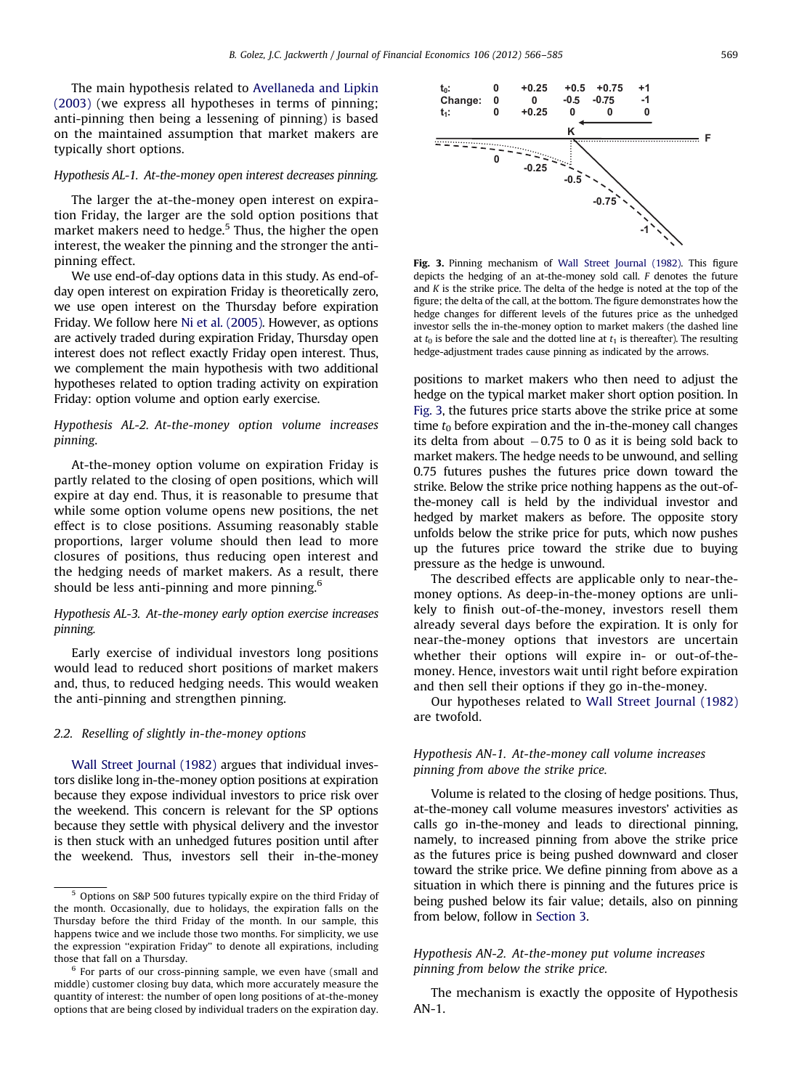The main hypothesis related to [Avellaneda and Lipkin](#page-18-0) [\(2003\)](#page-18-0) (we express all hypotheses in terms of pinning; anti-pinning then being a lessening of pinning) is based on the maintained assumption that market makers are typically short options.

#### Hypothesis AL-1. At-the-money open interest decreases pinning.

The larger the at-the-money open interest on expiration Friday, the larger are the sold option positions that market makers need to hedge.<sup>5</sup> Thus, the higher the open interest, the weaker the pinning and the stronger the antipinning effect.

We use end-of-day options data in this study. As end-ofday open interest on expiration Friday is theoretically zero, we use open interest on the Thursday before expiration Friday. We follow here [Ni et al. \(2005\).](#page-18-0) However, as options are actively traded during expiration Friday, Thursday open interest does not reflect exactly Friday open interest. Thus, we complement the main hypothesis with two additional hypotheses related to option trading activity on expiration Friday: option volume and option early exercise.

## Hypothesis AL-2. At-the-money option volume increases pinning.

At-the-money option volume on expiration Friday is partly related to the closing of open positions, which will expire at day end. Thus, it is reasonable to presume that while some option volume opens new positions, the net effect is to close positions. Assuming reasonably stable proportions, larger volume should then lead to more closures of positions, thus reducing open interest and the hedging needs of market makers. As a result, there should be less anti-pinning and more pinning.<sup>6</sup>

## Hypothesis AL-3. At-the-money early option exercise increases pinning.

Early exercise of individual investors long positions would lead to reduced short positions of market makers and, thus, to reduced hedging needs. This would weaken the anti-pinning and strengthen pinning.

## 2.2. Reselling of slightly in-the-money options

[Wall Street Journal \(1982\)](#page-19-0) argues that individual investors dislike long in-the-money option positions at expiration because they expose individual investors to price risk over the weekend. This concern is relevant for the SP options because they settle with physical delivery and the investor is then stuck with an unhedged futures position until after the weekend. Thus, investors sell their in-the-money



Fig. 3. Pinning mechanism of [Wall Street Journal \(1982\)](#page-19-0). This figure depicts the hedging of an at-the-money sold call. F denotes the future and  $K$  is the strike price. The delta of the hedge is noted at the top of the figure; the delta of the call, at the bottom. The figure demonstrates how the hedge changes for different levels of the futures price as the unhedged investor sells the in-the-money option to market makers (the dashed line at  $t_0$  is before the sale and the dotted line at  $t_1$  is thereafter). The resulting hedge-adjustment trades cause pinning as indicated by the arrows.

positions to market makers who then need to adjust the hedge on the typical market maker short option position. In Fig. 3, the futures price starts above the strike price at some time  $t_0$  before expiration and the in-the-money call changes its delta from about  $-0.75$  to 0 as it is being sold back to market makers. The hedge needs to be unwound, and selling 0.75 futures pushes the futures price down toward the strike. Below the strike price nothing happens as the out-ofthe-money call is held by the individual investor and hedged by market makers as before. The opposite story unfolds below the strike price for puts, which now pushes up the futures price toward the strike due to buying pressure as the hedge is unwound.

The described effects are applicable only to near-themoney options. As deep-in-the-money options are unlikely to finish out-of-the-money, investors resell them already several days before the expiration. It is only for near-the-money options that investors are uncertain whether their options will expire in- or out-of-themoney. Hence, investors wait until right before expiration and then sell their options if they go in-the-money.

Our hypotheses related to [Wall Street Journal \(1982\)](#page-19-0) are twofold.

## Hypothesis AN-1. At-the-money call volume increases pinning from above the strike price.

Volume is related to the closing of hedge positions. Thus, at-the-money call volume measures investors' activities as calls go in-the-money and leads to directional pinning, namely, to increased pinning from above the strike price as the futures price is being pushed downward and closer toward the strike price. We define pinning from above as a situation in which there is pinning and the futures price is being pushed below its fair value; details, also on pinning from below, follow in [Section 3.](#page-4-0)

## Hypothesis AN-2. At-the-money put volume increases pinning from below the strike price.

The mechanism is exactly the opposite of Hypothesis AN-1.

<sup>5</sup> Options on S&P 500 futures typically expire on the third Friday of the month. Occasionally, due to holidays, the expiration falls on the Thursday before the third Friday of the month. In our sample, this happens twice and we include those two months. For simplicity, we use the expression ''expiration Friday'' to denote all expirations, including those that fall on a Thursday.

<sup>6</sup> For parts of our cross-pinning sample, we even have (small and middle) customer closing buy data, which more accurately measure the quantity of interest: the number of open long positions of at-the-money options that are being closed by individual traders on the expiration day.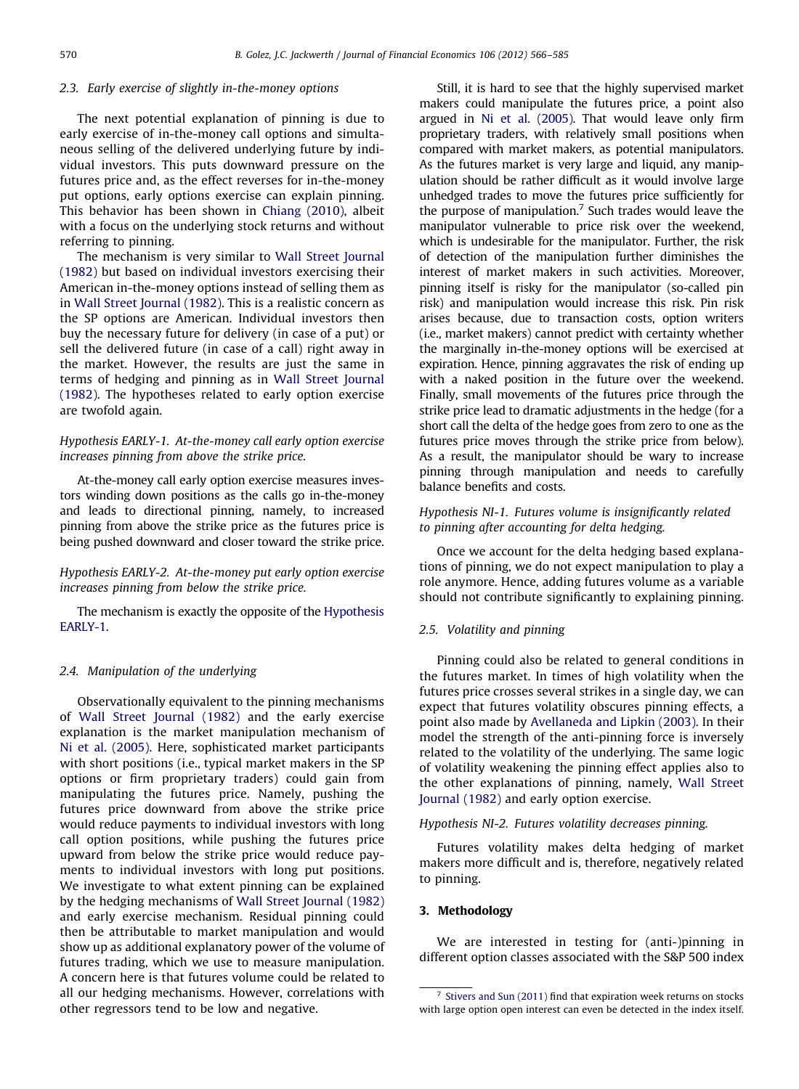#### <span id="page-4-0"></span>2.3. Early exercise of slightly in-the-money options

The next potential explanation of pinning is due to early exercise of in-the-money call options and simultaneous selling of the delivered underlying future by individual investors. This puts downward pressure on the futures price and, as the effect reverses for in-the-money put options, early options exercise can explain pinning. This behavior has been shown in [Chiang \(2010\)](#page-18-0), albeit with a focus on the underlying stock returns and without referring to pinning.

The mechanism is very similar to [Wall Street Journal](#page-19-0) [\(1982\)](#page-19-0) but based on individual investors exercising their American in-the-money options instead of selling them as in [Wall Street Journal \(1982\)](#page-19-0). This is a realistic concern as the SP options are American. Individual investors then buy the necessary future for delivery (in case of a put) or sell the delivered future (in case of a call) right away in the market. However, the results are just the same in terms of hedging and pinning as in [Wall Street Journal](#page-19-0) [\(1982\)](#page-19-0). The hypotheses related to early option exercise are twofold again.

## Hypothesis EARLY-1. At-the-money call early option exercise increases pinning from above the strike price.

At-the-money call early option exercise measures investors winding down positions as the calls go in-the-money and leads to directional pinning, namely, to increased pinning from above the strike price as the futures price is being pushed downward and closer toward the strike price.

Hypothesis EARLY-2. At-the-money put early option exercise increases pinning from below the strike price.

The mechanism is exactly the opposite of the Hypothesis EARLY-1.

## 2.4. Manipulation of the underlying

Observationally equivalent to the pinning mechanisms of [Wall Street Journal \(1982\)](#page-19-0) and the early exercise explanation is the market manipulation mechanism of [Ni et al. \(2005\).](#page-18-0) Here, sophisticated market participants with short positions (i.e., typical market makers in the SP options or firm proprietary traders) could gain from manipulating the futures price. Namely, pushing the futures price downward from above the strike price would reduce payments to individual investors with long call option positions, while pushing the futures price upward from below the strike price would reduce payments to individual investors with long put positions. We investigate to what extent pinning can be explained by the hedging mechanisms of [Wall Street Journal \(1982\)](#page-19-0) and early exercise mechanism. Residual pinning could then be attributable to market manipulation and would show up as additional explanatory power of the volume of futures trading, which we use to measure manipulation. A concern here is that futures volume could be related to all our hedging mechanisms. However, correlations with other regressors tend to be low and negative.

Still, it is hard to see that the highly supervised market makers could manipulate the futures price, a point also argued in [Ni et al. \(2005\)](#page-18-0). That would leave only firm proprietary traders, with relatively small positions when compared with market makers, as potential manipulators. As the futures market is very large and liquid, any manipulation should be rather difficult as it would involve large unhedged trades to move the futures price sufficiently for the purpose of manipulation. $7$  Such trades would leave the manipulator vulnerable to price risk over the weekend, which is undesirable for the manipulator. Further, the risk of detection of the manipulation further diminishes the interest of market makers in such activities. Moreover, pinning itself is risky for the manipulator (so-called pin risk) and manipulation would increase this risk. Pin risk arises because, due to transaction costs, option writers (i.e., market makers) cannot predict with certainty whether the marginally in-the-money options will be exercised at expiration. Hence, pinning aggravates the risk of ending up with a naked position in the future over the weekend. Finally, small movements of the futures price through the strike price lead to dramatic adjustments in the hedge (for a short call the delta of the hedge goes from zero to one as the futures price moves through the strike price from below). As a result, the manipulator should be wary to increase pinning through manipulation and needs to carefully balance benefits and costs.

## Hypothesis NI-1. Futures volume is insignificantly related to pinning after accounting for delta hedging.

Once we account for the delta hedging based explanations of pinning, we do not expect manipulation to play a role anymore. Hence, adding futures volume as a variable should not contribute significantly to explaining pinning.

## 2.5. Volatility and pinning

Pinning could also be related to general conditions in the futures market. In times of high volatility when the futures price crosses several strikes in a single day, we can expect that futures volatility obscures pinning effects, a point also made by [Avellaneda and Lipkin \(2003\)](#page-18-0). In their model the strength of the anti-pinning force is inversely related to the volatility of the underlying. The same logic of volatility weakening the pinning effect applies also to the other explanations of pinning, namely, [Wall Street](#page-19-0) [Journal \(1982\)](#page-19-0) and early option exercise.

## Hypothesis NI-2. Futures volatility decreases pinning.

Futures volatility makes delta hedging of market makers more difficult and is, therefore, negatively related to pinning.

## 3. Methodology

We are interested in testing for (anti-)pinning in different option classes associated with the S&P 500 index

 $7$  [Stivers and Sun \(2011\)](#page-19-0) find that expiration week returns on stocks with large option open interest can even be detected in the index itself.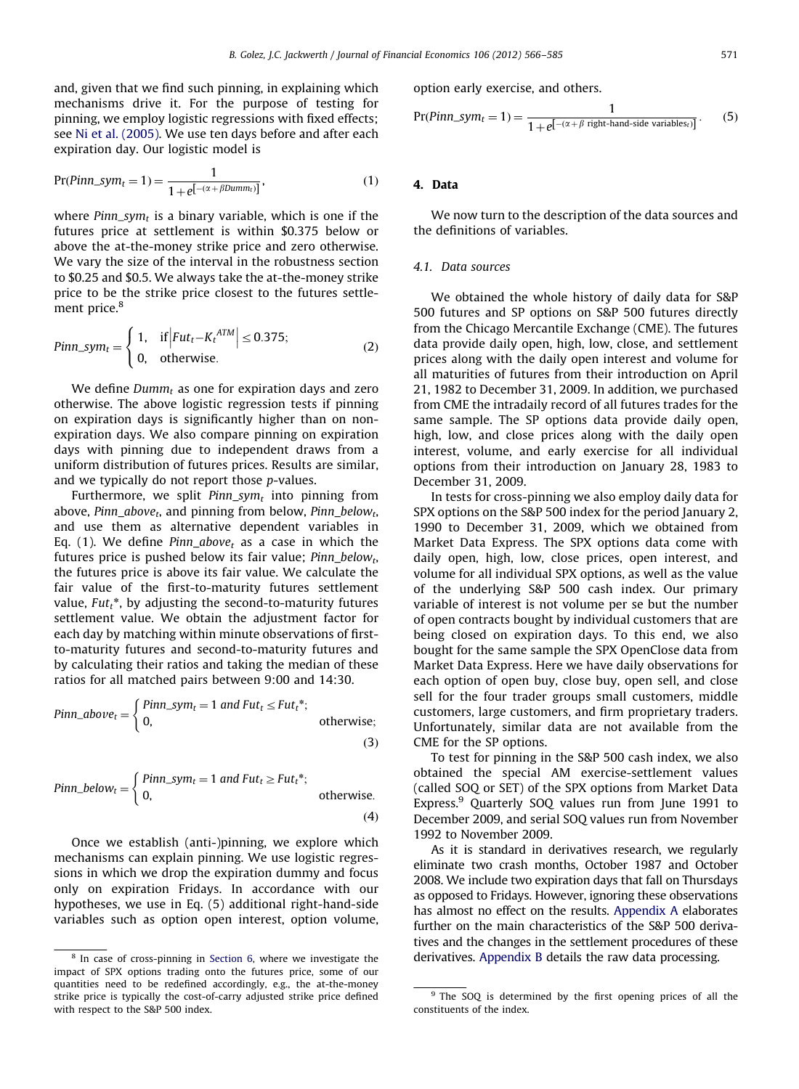<span id="page-5-0"></span>and, given that we find such pinning, in explaining which mechanisms drive it. For the purpose of testing for pinning, we employ logistic regressions with fixed effects; see [Ni et al. \(2005\)](#page-18-0). We use ten days before and after each expiration day. Our logistic model is

$$
Pr(Pinn\_sym_t = 1) = \frac{1}{1 + e^{[-(\alpha + \beta Dumm_t)]}},
$$
\n(1)

where  $Pinn\_sym_t$  is a binary variable, which is one if the futures price at settlement is within \$0.375 below or above the at-the-money strike price and zero otherwise. We vary the size of the interval in the robustness section to \$0.25 and \$0.5. We always take the at-the-money strike price to be the strike price closest to the futures settlement price.<sup>8</sup>

$$
Pinn\_sym_t = \begin{cases} 1, & \text{if } |Fut_t - K_t^{ATM}| \le 0.375; \\ 0, & \text{otherwise.} \end{cases}
$$
 (2)

We define  $Dumm_t$  as one for expiration days and zero otherwise. The above logistic regression tests if pinning on expiration days is significantly higher than on nonexpiration days. We also compare pinning on expiration days with pinning due to independent draws from a uniform distribution of futures prices. Results are similar, and we typically do not report those p-values.

Furthermore, we split  $Pinn\_sym_t$  into pinning from above, Pinn  $above<sub>t</sub>$ , and pinning from below, Pinn below<sub>t</sub>, and use them as alternative dependent variables in Eq. (1). We define Pinn\_above<sub>t</sub> as a case in which the futures price is pushed below its fair value;  $Pinn\_below_t$ , the futures price is above its fair value. We calculate the fair value of the first-to-maturity futures settlement value,  $Fut_t^*$ , by adjusting the second-to-maturity futures settlement value. We obtain the adjustment factor for each day by matching within minute observations of firstto-maturity futures and second-to-maturity futures and by calculating their ratios and taking the median of these ratios for all matched pairs between 9:00 and 14:30.

$$
Pinn\_above_t = \begin{cases} Pinn\_sym_t = 1 \text{ and } Fut_t \leq Fut_t^*; \\ 0, & \text{otherwise}; \end{cases}
$$
\n(3)

$$
Pinn\_below_t = \begin{cases} Pinn\_sym_t = 1 \text{ and } Fut_t \geq Fut_t^*; \\ 0, & \text{otherwise.} \end{cases}
$$

Once we establish (anti-)pinning, we explore which mechanisms can explain pinning. We use logistic regressions in which we drop the expiration dummy and focus only on expiration Fridays. In accordance with our hypotheses, we use in Eq. (5) additional right-hand-side variables such as option open interest, option volume, option early exercise, and others.

$$
Pr(Pinn\_sym_t = 1) = \frac{1}{1 + e^{[-(\alpha + \beta \text{ right-hand-side variables}_t)]}}.
$$
 (5)

## 4. Data

We now turn to the description of the data sources and the definitions of variables.

## 4.1. Data sources

We obtained the whole history of daily data for S&P 500 futures and SP options on S&P 500 futures directly from the Chicago Mercantile Exchange (CME). The futures data provide daily open, high, low, close, and settlement prices along with the daily open interest and volume for all maturities of futures from their introduction on April 21, 1982 to December 31, 2009. In addition, we purchased from CME the intradaily record of all futures trades for the same sample. The SP options data provide daily open, high, low, and close prices along with the daily open interest, volume, and early exercise for all individual options from their introduction on January 28, 1983 to December 31, 2009.

In tests for cross-pinning we also employ daily data for SPX options on the S&P 500 index for the period January 2, 1990 to December 31, 2009, which we obtained from Market Data Express. The SPX options data come with daily open, high, low, close prices, open interest, and volume for all individual SPX options, as well as the value of the underlying S&P 500 cash index. Our primary variable of interest is not volume per se but the number of open contracts bought by individual customers that are being closed on expiration days. To this end, we also bought for the same sample the SPX OpenClose data from Market Data Express. Here we have daily observations for each option of open buy, close buy, open sell, and close sell for the four trader groups small customers, middle customers, large customers, and firm proprietary traders. Unfortunately, similar data are not available from the CME for the SP options.

To test for pinning in the S&P 500 cash index, we also obtained the special AM exercise-settlement values (called SOQ or SET) of the SPX options from Market Data Express.<sup>9</sup> Quarterly SOQ values run from June 1991 to December 2009, and serial SOQ values run from November 1992 to November 2009.

As it is standard in derivatives research, we regularly eliminate two crash months, October 1987 and October 2008. We include two expiration days that fall on Thursdays as opposed to Fridays. However, ignoring these observations has almost no effect on the results. [Appendix A](#page-16-0) elaborates further on the main characteristics of the S&P 500 derivatives and the changes in the settlement procedures of these <sup>8</sup> In case of cross-pinning in Section 6, where we investigate the derivatives. [Appendix B](#page-16-0) details the raw data processing.

impact of SPX options trading onto the futures price, some of our quantities need to be redefined accordingly, e.g., the at-the-money strike price is typically the cost-of-carry adjusted strike price defined with respect to the S&P 500 index.

<sup>&</sup>lt;sup>9</sup> The SOQ is determined by the first opening prices of all the constituents of the index.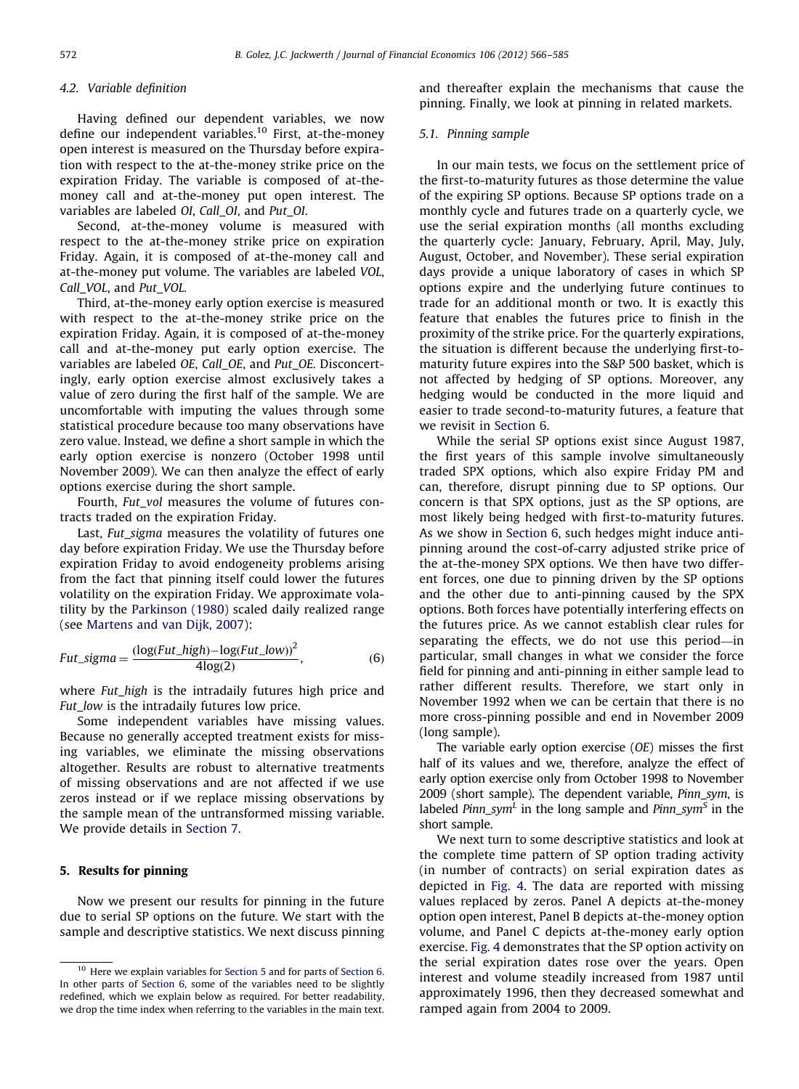## <span id="page-6-0"></span>4.2. Variable definition

Having defined our dependent variables, we now define our independent variables.<sup>10</sup> First, at-the-money open interest is measured on the Thursday before expiration with respect to the at-the-money strike price on the expiration Friday. The variable is composed of at-themoney call and at-the-money put open interest. The variables are labeled OI, Call\_OI, and Put\_OI.

Second, at-the-money volume is measured with respect to the at-the-money strike price on expiration Friday. Again, it is composed of at-the-money call and at-the-money put volume. The variables are labeled VOL, Call\_VOL, and Put\_VOL.

Third, at-the-money early option exercise is measured with respect to the at-the-money strike price on the expiration Friday. Again, it is composed of at-the-money call and at-the-money put early option exercise. The variables are labeled OE, Call\_OE, and Put\_OE. Disconcertingly, early option exercise almost exclusively takes a value of zero during the first half of the sample. We are uncomfortable with imputing the values through some statistical procedure because too many observations have zero value. Instead, we define a short sample in which the early option exercise is nonzero (October 1998 until November 2009). We can then analyze the effect of early options exercise during the short sample.

Fourth, Fut vol measures the volume of futures contracts traded on the expiration Friday.

Last, Fut\_sigma measures the volatility of futures one day before expiration Friday. We use the Thursday before expiration Friday to avoid endogeneity problems arising from the fact that pinning itself could lower the futures volatility on the expiration Friday. We approximate volatility by the [Parkinson \(1980\)](#page-19-0) scaled daily realized range (see [Martens and van Dijk, 2007](#page-19-0)):

$$
Fut\_sigma = \frac{(\log(Fut\_high) - \log(Fut\_low))^2}{4\log(2)},
$$
\n(6)

where Fut\_high is the intradaily futures high price and Fut\_low is the intradaily futures low price.

Some independent variables have missing values. Because no generally accepted treatment exists for missing variables, we eliminate the missing observations altogether. Results are robust to alternative treatments of missing observations and are not affected if we use zeros instead or if we replace missing observations by the sample mean of the untransformed missing variable. We provide details in [Section 7](#page-15-0).

## 5. Results for pinning

Now we present our results for pinning in the future due to serial SP options on the future. We start with the sample and descriptive statistics. We next discuss pinning

and thereafter explain the mechanisms that cause the pinning. Finally, we look at pinning in related markets.

## 5.1. Pinning sample

In our main tests, we focus on the settlement price of the first-to-maturity futures as those determine the value of the expiring SP options. Because SP options trade on a monthly cycle and futures trade on a quarterly cycle, we use the serial expiration months (all months excluding the quarterly cycle: January, February, April, May, July, August, October, and November). These serial expiration days provide a unique laboratory of cases in which SP options expire and the underlying future continues to trade for an additional month or two. It is exactly this feature that enables the futures price to finish in the proximity of the strike price. For the quarterly expirations, the situation is different because the underlying first-tomaturity future expires into the S&P 500 basket, which is not affected by hedging of SP options. Moreover, any hedging would be conducted in the more liquid and easier to trade second-to-maturity futures, a feature that we revisit in [Section 6.](#page-13-0)

While the serial SP options exist since August 1987, the first years of this sample involve simultaneously traded SPX options, which also expire Friday PM and can, therefore, disrupt pinning due to SP options. Our concern is that SPX options, just as the SP options, are most likely being hedged with first-to-maturity futures. As we show in [Section 6,](#page-13-0) such hedges might induce antipinning around the cost-of-carry adjusted strike price of the at-the-money SPX options. We then have two different forces, one due to pinning driven by the SP options and the other due to anti-pinning caused by the SPX options. Both forces have potentially interfering effects on the futures price. As we cannot establish clear rules for separating the effects, we do not use this period—in particular, small changes in what we consider the force field for pinning and anti-pinning in either sample lead to rather different results. Therefore, we start only in November 1992 when we can be certain that there is no more cross-pinning possible and end in November 2009 (long sample).

The variable early option exercise (OE) misses the first half of its values and we, therefore, analyze the effect of early option exercise only from October 1998 to November 2009 (short sample). The dependent variable, *Pinn sym*, is labeled Pinn sym<sup>L</sup> in the long sample and Pinn sym<sup>S</sup> in the short sample.

We next turn to some descriptive statistics and look at the complete time pattern of SP option trading activity (in number of contracts) on serial expiration dates as depicted in [Fig. 4](#page-7-0). The data are reported with missing values replaced by zeros. Panel A depicts at-the-money option open interest, Panel B depicts at-the-money option volume, and Panel C depicts at-the-money early option exercise. [Fig. 4](#page-7-0) demonstrates that the SP option activity on the serial expiration dates rose over the years. Open interest and volume steadily increased from 1987 until approximately 1996, then they decreased somewhat and ramped again from 2004 to 2009.

<sup>&</sup>lt;sup>10</sup> Here we explain variables for Section 5 and for parts of [Section 6](#page-13-0). In other parts of [Section 6,](#page-13-0) some of the variables need to be slightly redefined, which we explain below as required. For better readability, we drop the time index when referring to the variables in the main text.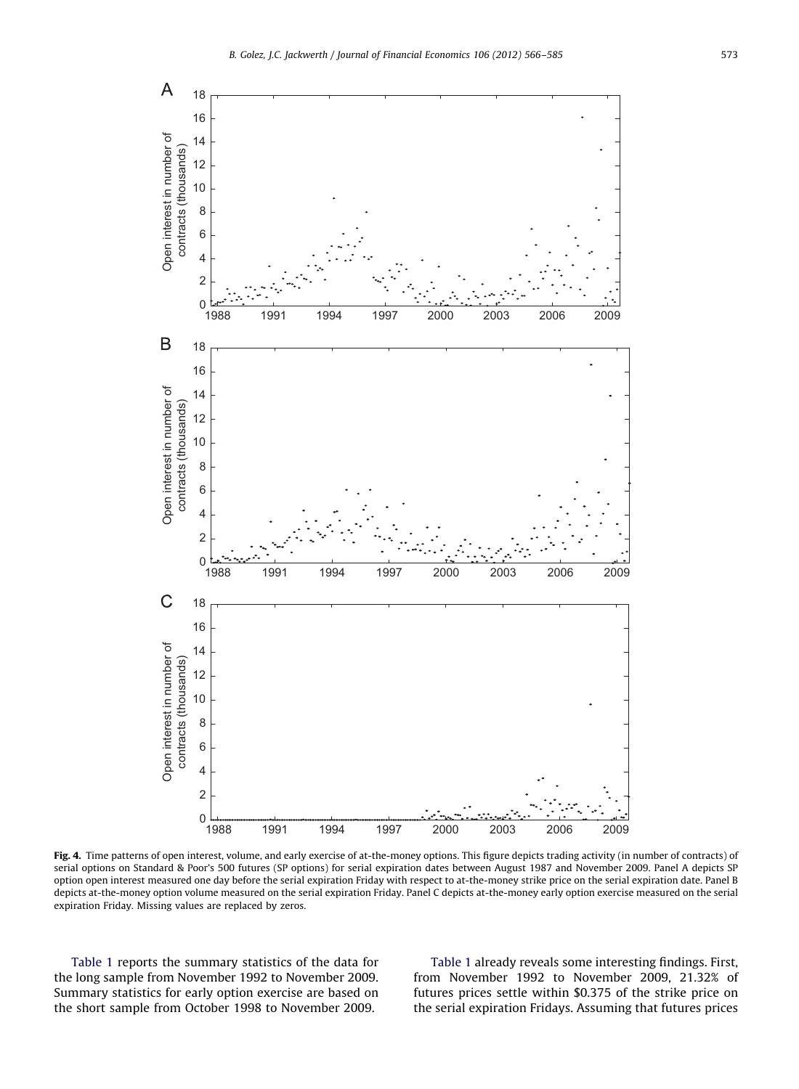<span id="page-7-0"></span>

Fig. 4. Time patterns of open interest, volume, and early exercise of at-the-money options. This figure depicts trading activity (in number of contracts) of serial options on Standard & Poor's 500 futures (SP options) for serial expiration dates between August 1987 and November 2009. Panel A depicts SP option open interest measured one day before the serial expiration Friday with respect to at-the-money strike price on the serial expiration date. Panel B depicts at-the-money option volume measured on the serial expiration Friday. Panel C depicts at-the-money early option exercise measured on the serial expiration Friday. Missing values are replaced by zeros.

[Table 1](#page-8-0) reports the summary statistics of the data for the long sample from November 1992 to November 2009. Summary statistics for early option exercise are based on the short sample from October 1998 to November 2009.

[Table 1](#page-8-0) already reveals some interesting findings. First, from November 1992 to November 2009, 21.32% of futures prices settle within \$0.375 of the strike price on the serial expiration Fridays. Assuming that futures prices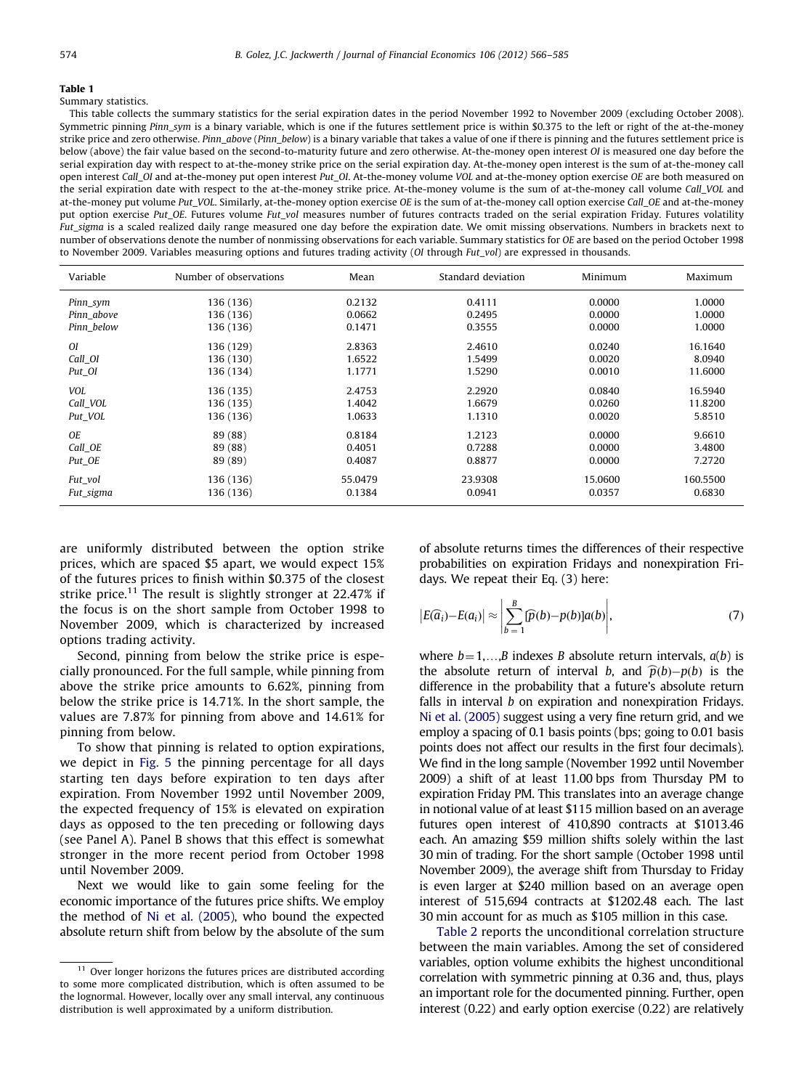## <span id="page-8-0"></span>Table 1

## Summary statistics.

This table collects the summary statistics for the serial expiration dates in the period November 1992 to November 2009 (excluding October 2008). Symmetric pinning Pinn sym is a binary variable, which is one if the futures settlement price is within \$0.375 to the left or right of the at-the-money strike price and zero otherwise. Pinn\_above (Pinn\_below) is a binary variable that takes a value of one if there is pinning and the futures settlement price is below (above) the fair value based on the second-to-maturity future and zero otherwise. At-the-money open interest OI is measured one day before the serial expiration day with respect to at-the-money strike price on the serial expiration day. At-the-money open interest is the sum of at-the-money call open interest Call OI and at-the-money put open interest Put OI. At-the-money volume VOL and at-the-money option exercise OE are both measured on the serial expiration date with respect to the at-the-money strike price. At-the-money volume is the sum of at-the-money call volume Call\_VOL and at-the-money put volume Put\_VOL. Similarly, at-the-money option exercise OE is the sum of at-the-money call option exercise Call\_OE and at-the-money put option exercise Put OE. Futures volume Fut vol measures number of futures contracts traded on the serial expiration Friday. Futures volatility Fut\_sigma is a scaled realized daily range measured one day before the expiration date. We omit missing observations. Numbers in brackets next to number of observations denote the number of nonmissing observations for each variable. Summary statistics for OE are based on the period October 1998 to November 2009. Variables measuring options and futures trading activity (OI through Fut\_vol) are expressed in thousands.

| Variable      | Number of observations | Mean    | Standard deviation | Minimum | Maximum  |
|---------------|------------------------|---------|--------------------|---------|----------|
| Pinn_sym      | 136 (136)              | 0.2132  | 0.4111             | 0.0000  | 1.0000   |
| Pinn above    | 136 (136)              | 0.0662  | 0.2495             | 0.0000  | 1.0000   |
| Pinn below    | 136 (136)              | 0.1471  | 0.3555             | 0.0000  | 1.0000   |
| <sup>OI</sup> | 136 (129)              | 2.8363  | 2.4610             | 0.0240  | 16.1640  |
| Call OI       | 136 (130)              | 1.6522  | 1.5499             | 0.0020  | 8.0940   |
| Put_OI        | 136 (134)              | 1.1771  | 1.5290             | 0.0010  | 11.6000  |
| <b>VOL</b>    | 136 (135)              | 2.4753  | 2.2920             | 0.0840  | 16.5940  |
| Call VOL      | 136 (135)              | 1.4042  | 1.6679             | 0.0260  | 11.8200  |
| Put VOL       | 136 (136)              | 1.0633  | 1.1310             | 0.0020  | 5.8510   |
| <b>OE</b>     | 89 (88)                | 0.8184  | 1.2123             | 0.0000  | 9.6610   |
| Call OE       | 89 (88)                | 0.4051  | 0.7288             | 0.0000  | 3.4800   |
| Put_OE        | 89 (89)                | 0.4087  | 0.8877             | 0.0000  | 7.2720   |
| Fut_vol       | 136 (136)              | 55.0479 | 23.9308            | 15.0600 | 160.5500 |
| Fut_sigma     | 136 (136)              | 0.1384  | 0.0941             | 0.0357  | 0.6830   |

are uniformly distributed between the option strike prices, which are spaced \$5 apart, we would expect 15% of the futures prices to finish within \$0.375 of the closest strike price.<sup>11</sup> The result is slightly stronger at 22.47% if the focus is on the short sample from October 1998 to November 2009, which is characterized by increased options trading activity.

Second, pinning from below the strike price is especially pronounced. For the full sample, while pinning from above the strike price amounts to 6.62%, pinning from below the strike price is 14.71%. In the short sample, the values are 7.87% for pinning from above and 14.61% for pinning from below.

To show that pinning is related to option expirations, we depict in [Fig. 5](#page-9-0) the pinning percentage for all days starting ten days before expiration to ten days after expiration. From November 1992 until November 2009, the expected frequency of 15% is elevated on expiration days as opposed to the ten preceding or following days (see Panel A). Panel B shows that this effect is somewhat stronger in the more recent period from October 1998 until November 2009.

Next we would like to gain some feeling for the economic importance of the futures price shifts. We employ the method of [Ni et al. \(2005\),](#page-18-0) who bound the expected absolute return shift from below by the absolute of the sum of absolute returns times the differences of their respective probabilities on expiration Fridays and nonexpiration Fridays. We repeat their Eq. (3) here:

$$
\left| E(\widehat{a}_i) - E(a_i) \right| \approx \left| \sum_{b=1}^{B} [\widehat{p}(b) - p(b)] a(b) \right|, \tag{7}
$$

where  $b=1,...,B$  indexes B absolute return intervals,  $a(b)$  is the absolute return of interval b, and  $\hat{p}(b) - p(b)$  is the difference in the probability that a future's absolute return falls in interval  $b$  on expiration and nonexpiration Fridays. [Ni et al. \(2005\)](#page-18-0) suggest using a very fine return grid, and we employ a spacing of 0.1 basis points (bps; going to 0.01 basis points does not affect our results in the first four decimals). We find in the long sample (November 1992 until November 2009) a shift of at least 11.00 bps from Thursday PM to expiration Friday PM. This translates into an average change in notional value of at least \$115 million based on an average futures open interest of 410,890 contracts at \$1013.46 each. An amazing \$59 million shifts solely within the last 30 min of trading. For the short sample (October 1998 until November 2009), the average shift from Thursday to Friday is even larger at \$240 million based on an average open interest of 515,694 contracts at \$1202.48 each. The last 30 min account for as much as \$105 million in this case.

[Table 2](#page-10-0) reports the unconditional correlation structure between the main variables. Among the set of considered variables, option volume exhibits the highest unconditional correlation with symmetric pinning at 0.36 and, thus, plays an important role for the documented pinning. Further, open interest (0.22) and early option exercise (0.22) are relatively

 $11$  Over longer horizons the futures prices are distributed according to some more complicated distribution, which is often assumed to be the lognormal. However, locally over any small interval, any continuous distribution is well approximated by a uniform distribution.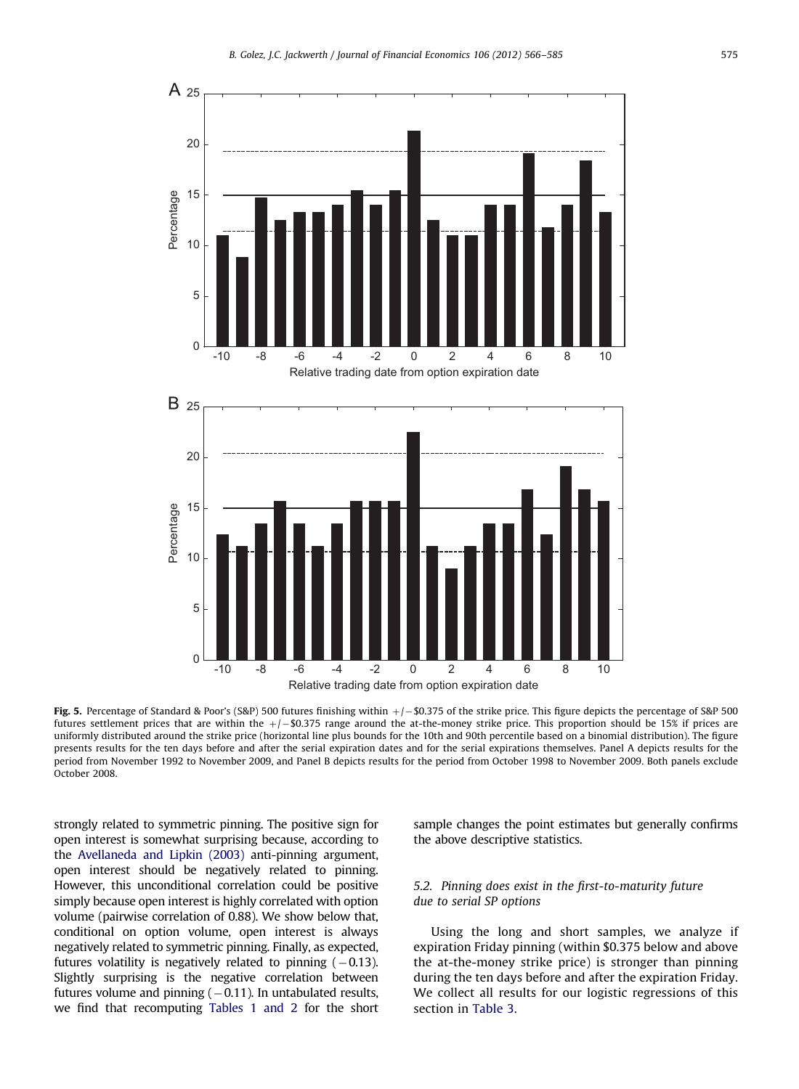<span id="page-9-0"></span>

Fig. 5. Percentage of Standard & Poor's (S&P) 500 futures finishing within  $+/-$  \$0.375 of the strike price. This figure depicts the percentage of S&P 500 futures settlement prices that are within the  $+/-$ \$0.375 range around the at-the-money strike price. This proportion should be 15% if prices are uniformly distributed around the strike price (horizontal line plus bounds for the 10th and 90th percentile based on a binomial distribution). The figure presents results for the ten days before and after the serial expiration dates and for the serial expirations themselves. Panel A depicts results for the period from November 1992 to November 2009, and Panel B depicts results for the period from October 1998 to November 2009. Both panels exclude October 2008.

strongly related to symmetric pinning. The positive sign for open interest is somewhat surprising because, according to the [Avellaneda and Lipkin \(2003\)](#page-18-0) anti-pinning argument, open interest should be negatively related to pinning. However, this unconditional correlation could be positive simply because open interest is highly correlated with option volume (pairwise correlation of 0.88). We show below that, conditional on option volume, open interest is always negatively related to symmetric pinning. Finally, as expected, futures volatility is negatively related to pinning  $(-0.13)$ . Slightly surprising is the negative correlation between futures volume and pinning ( $-0.11$ ). In untabulated results, we find that recomputing [Tables 1 and 2](#page-8-0) for the short sample changes the point estimates but generally confirms the above descriptive statistics.

## 5.2. Pinning does exist in the first-to-maturity future due to serial SP options

Using the long and short samples, we analyze if expiration Friday pinning (within \$0.375 below and above the at-the-money strike price) is stronger than pinning during the ten days before and after the expiration Friday. We collect all results for our logistic regressions of this section in [Table 3](#page-10-0).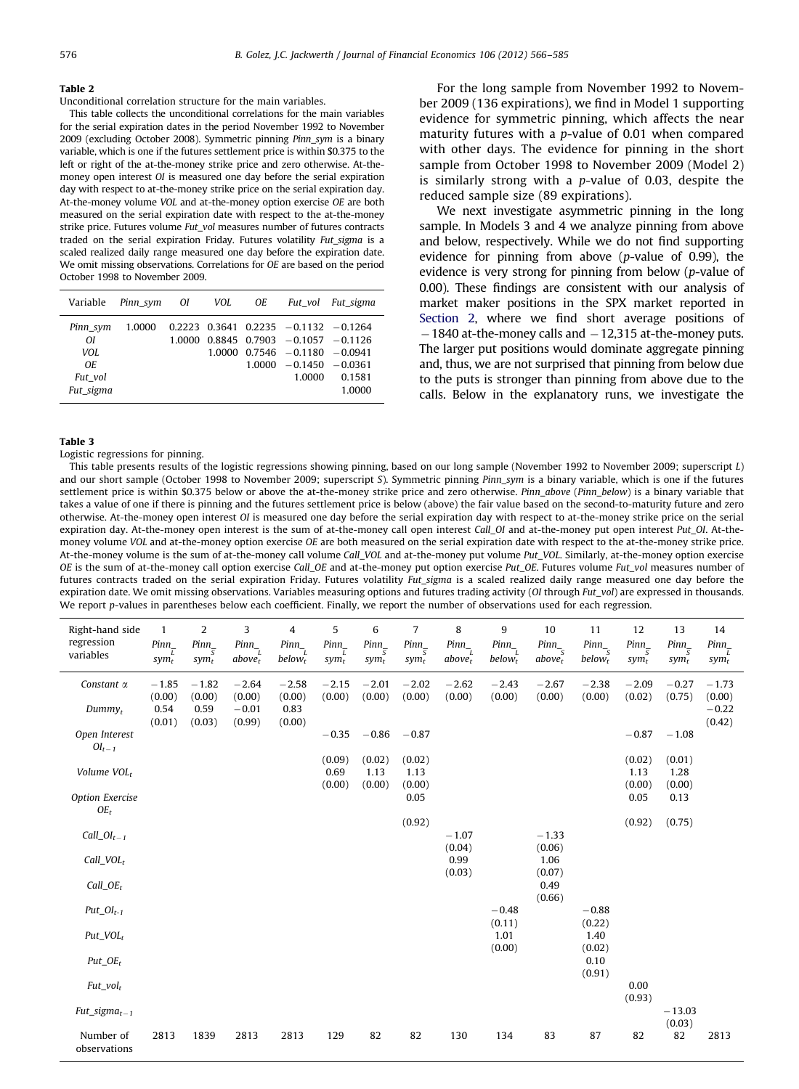#### <span id="page-10-0"></span>Table 2

Unconditional correlation structure for the main variables.

This table collects the unconditional correlations for the main variables for the serial expiration dates in the period November 1992 to November 2009 (excluding October 2008). Symmetric pinning Pinn\_sym is a binary variable, which is one if the futures settlement price is within \$0.375 to the left or right of the at-the-money strike price and zero otherwise. At-themoney open interest OI is measured one day before the serial expiration day with respect to at-the-money strike price on the serial expiration day. At-the-money volume VOL and at-the-money option exercise OE are both measured on the serial expiration date with respect to the at-the-money strike price. Futures volume Fut\_vol measures number of futures contracts traded on the serial expiration Friday. Futures volatility Fut sigma is a scaled realized daily range measured one day before the expiration date. We omit missing observations. Correlations for OE are based on the period October 1998 to November 2009.

|                                                       | Variable Pinn sym OI |        | VOL OE |                                                                                                                                                                            | Fut vol Fut sigma |
|-------------------------------------------------------|----------------------|--------|--------|----------------------------------------------------------------------------------------------------------------------------------------------------------------------------|-------------------|
| Pinn sym<br>ΩI<br>VOL.<br>OE.<br>Fut vol<br>Fut sigma | 1.0000               | 1.0000 |        | $0.2223$ $0.3641$ $0.2235$ $-0.1132$ $-0.1264$<br>$0.8845$ $0.7903$ $-0.1057$ $-0.1126$<br>$1.0000 \quad 0.7546 = 0.1180 = 0.0941$<br>$1.0000 - 0.1450 - 0.0361$<br>1.0000 | 0.1581<br>1.0000  |

For the long sample from November 1992 to November 2009 (136 expirations), we find in Model 1 supporting evidence for symmetric pinning, which affects the near maturity futures with a p-value of 0.01 when compared with other days. The evidence for pinning in the short sample from October 1998 to November 2009 (Model 2) is similarly strong with a p-value of 0.03, despite the reduced sample size (89 expirations).

We next investigate asymmetric pinning in the long sample. In Models 3 and 4 we analyze pinning from above and below, respectively. While we do not find supporting evidence for pinning from above (p-value of 0.99), the evidence is very strong for pinning from below (p-value of 0.00). These findings are consistent with our analysis of market maker positions in the SPX market reported in [Section 2,](#page-1-0) where we find short average positions of  $-1840$  at-the-money calls and  $-12,315$  at-the-money puts. The larger put positions would dominate aggregate pinning and, thus, we are not surprised that pinning from below due to the puts is stronger than pinning from above due to the calls. Below in the explanatory runs, we investigate the

#### Table 3

Logistic regressions for pinning.

This table presents results of the logistic regressions showing pinning, based on our long sample (November 1992 to November 2009; superscript L) and our short sample (October 1998 to November 2009; superscript S). Symmetric pinning Pinn sym is a binary variable, which is one if the futures settlement price is within \$0.375 below or above the at-the-money strike price and zero otherwise. Pinn\_above (Pinn\_below) is a binary variable that takes a value of one if there is pinning and the futures settlement price is below (above) the fair value based on the second-to-maturity future and zero otherwise. At-the-money open interest OI is measured one day before the serial expiration day with respect to at-the-money strike price on the serial expiration day. At-the-money open interest is the sum of at-the-money call open interest Call\_OI and at-the-money put open interest Put\_OI. At-themoney volume VOL and at-the-money option exercise OE are both measured on the serial expiration date with respect to the at-the-money strike price. At-the-money volume is the sum of at-the-money call volume Call\_VOL and at-the-money put volume Put\_VOL. Similarly, at-the-money option exercise OE is the sum of at-the-money call option exercise Call\_OE and at-the-money put option exercise Put\_OE. Futures volume Fut\_vol measures number of futures contracts traded on the serial expiration Friday. Futures volatility Fut\_sigma is a scaled realized daily range measured one day before the expiration date. We omit missing observations. Variables measuring options and futures trading activity (OI through Fut vol) are expressed in thousands. We report p-values in parentheses below each coefficient. Finally, we report the number of observations used for each regression.

| Right-hand side<br>regression<br>variables | $\mathbf{1}$<br>$Pinn_$<br>$sym_t$ | 2<br>$Pinn_{\pi}$<br>$sym_t$ | 3<br>$Pinn_$<br>above <sub>t</sub> | 4<br>$Pinn_$<br>$below_t$ | 5<br>$Pinn_$<br>$sym_t$  | 6<br>$Pinn_{-}$<br>$sym_t$ | 7<br>$Pinn_{-}$<br>$sym_t$ | 8<br>$Pinn_$<br>above <sub>t</sub> | 9<br>$Pinn_$<br>$below_t$ | 10<br>$Pinn_$<br>above <sub>t</sub> | 11<br>$Pinn_$<br>$below_t$ | 12<br>$Pinn_$<br>$sym_t$ | 13<br>$Pinn_{\pi}$<br>$sym_t$ | 14<br>$Pinn_$<br>$sym_t$     |
|--------------------------------------------|------------------------------------|------------------------------|------------------------------------|---------------------------|--------------------------|----------------------------|----------------------------|------------------------------------|---------------------------|-------------------------------------|----------------------------|--------------------------|-------------------------------|------------------------------|
| Constant $\alpha$<br>Dummy <sub>t</sub>    | $-1.85$<br>(0.00)<br>0.54          | $-1.82$<br>(0.00)<br>0.59    | $-2.64$<br>(0.00)<br>$-0.01$       | $-2.58$<br>(0.00)<br>0.83 | $-2.15$<br>(0.00)        | $-2.01$<br>(0.00)          | $-2.02$<br>(0.00)          | $-2.62$<br>(0.00)                  | $-2.43$<br>(0.00)         | $-2.67$<br>(0.00)                   | $-2.38$<br>(0.00)          | $-2.09$<br>(0.02)        | $-0.27$<br>(0.75)             | $-1.73$<br>(0.00)<br>$-0.22$ |
| Open Interest<br>$OI_{t-1}$                | (0.01)                             | (0.03)                       | (0.99)                             | (0.00)                    | $-0.35$                  | $-0.86$                    | $-0.87$                    |                                    |                           |                                     |                            | $-0.87$                  | $-1.08$                       | (0.42)                       |
| Volume VOL <sub>t</sub>                    |                                    |                              |                                    |                           | (0.09)<br>0.69<br>(0.00) | (0.02)<br>1.13<br>(0.00)   | (0.02)<br>1.13<br>(0.00)   |                                    |                           |                                     |                            | (0.02)<br>1.13<br>(0.00) | (0.01)<br>1.28<br>(0.00)      |                              |
| Option Exercise<br>$OE_t$                  |                                    |                              |                                    |                           |                          |                            | 0.05<br>(0.92)             |                                    |                           |                                     |                            | 0.05<br>(0.92)           | 0.13<br>(0.75)                |                              |
| Call_ $OI_{t-1}$                           |                                    |                              |                                    |                           |                          |                            |                            | $-1.07$<br>(0.04)                  |                           | $-1.33$<br>(0.06)                   |                            |                          |                               |                              |
| $Call\_VOL_r$<br>$Call_OE_t$               |                                    |                              |                                    |                           |                          |                            |                            | 0.99<br>(0.03)                     |                           | 1.06<br>(0.07)<br>0.49              |                            |                          |                               |                              |
| $Put\_OI_{t-1}$                            |                                    |                              |                                    |                           |                          |                            |                            |                                    | $-0.48$                   | (0.66)                              | $-0.88$                    |                          |                               |                              |
| $Put\_VOL_r$                               |                                    |                              |                                    |                           |                          |                            |                            |                                    | (0.11)<br>1.01<br>(0.00)  |                                     | (0.22)<br>1.40<br>(0.02)   |                          |                               |                              |
| $Put_OE_t$                                 |                                    |                              |                                    |                           |                          |                            |                            |                                    |                           |                                     | 0.10<br>(0.91)             |                          |                               |                              |
| $Fut\_vol_t$<br>$Fut\_sigma_{t-1}$         |                                    |                              |                                    |                           |                          |                            |                            |                                    |                           |                                     |                            | 0.00<br>(0.93)           | $-13.03$                      |                              |
| Number of<br>observations                  | 2813                               | 1839                         | 2813                               | 2813                      | 129                      | 82                         | 82                         | 130                                | 134                       | 83                                  | 87                         | 82                       | (0.03)<br>82                  | 2813                         |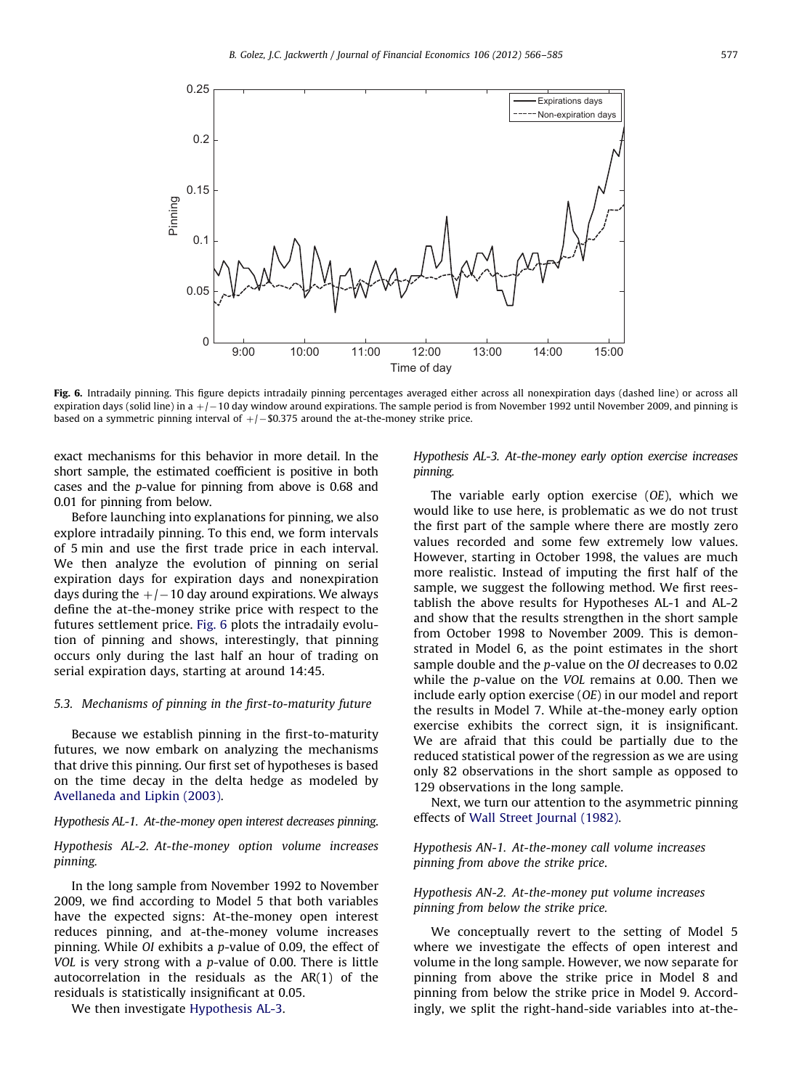

Fig. 6. Intradaily pinning. This figure depicts intradaily pinning percentages averaged either across all nonexpiration days (dashed line) or across all expiration days (solid line) in a +/– 10 day window around expirations. The sample period is from November 1992 until November 2009, and pinning is based on a symmetric pinning interval of  $+/-$  \$0.375 around the at-the-money strike price.

exact mechanisms for this behavior in more detail. In the short sample, the estimated coefficient is positive in both cases and the p-value for pinning from above is 0.68 and 0.01 for pinning from below.

Before launching into explanations for pinning, we also explore intradaily pinning. To this end, we form intervals of 5 min and use the first trade price in each interval. We then analyze the evolution of pinning on serial expiration days for expiration days and nonexpiration days during the  $+/-$  10 day around expirations. We always define the at-the-money strike price with respect to the futures settlement price. Fig. 6 plots the intradaily evolution of pinning and shows, interestingly, that pinning occurs only during the last half an hour of trading on serial expiration days, starting at around 14:45.

## 5.3. Mechanisms of pinning in the first-to-maturity future

Because we establish pinning in the first-to-maturity futures, we now embark on analyzing the mechanisms that drive this pinning. Our first set of hypotheses is based on the time decay in the delta hedge as modeled by [Avellaneda and Lipkin \(2003\)](#page-18-0).

Hypothesis AL-1. At-the-money open interest decreases pinning.

## Hypothesis AL-2. At-the-money option volume increases pinning.

In the long sample from November 1992 to November 2009, we find according to Model 5 that both variables have the expected signs: At-the-money open interest reduces pinning, and at-the-money volume increases pinning. While OI exhibits a p-value of 0.09, the effect of VOL is very strong with a p-value of 0.00. There is little autocorrelation in the residuals as the AR(1) of the residuals is statistically insignificant at 0.05.

We then investigate Hypothesis AL-3.

Hypothesis AL-3. At-the-money early option exercise increases pinning.

The variable early option exercise (OE), which we would like to use here, is problematic as we do not trust the first part of the sample where there are mostly zero values recorded and some few extremely low values. However, starting in October 1998, the values are much more realistic. Instead of imputing the first half of the sample, we suggest the following method. We first reestablish the above results for Hypotheses AL-1 and AL-2 and show that the results strengthen in the short sample from October 1998 to November 2009. This is demonstrated in Model 6, as the point estimates in the short sample double and the p-value on the OI decreases to 0.02 while the p-value on the VOL remains at 0.00. Then we include early option exercise (OE) in our model and report the results in Model 7. While at-the-money early option exercise exhibits the correct sign, it is insignificant. We are afraid that this could be partially due to the reduced statistical power of the regression as we are using only 82 observations in the short sample as opposed to 129 observations in the long sample.

Next, we turn our attention to the asymmetric pinning effects of [Wall Street Journal \(1982\).](#page-19-0)

## Hypothesis AN-1. At-the-money call volume increases pinning from above the strike price.

## Hypothesis AN-2. At-the-money put volume increases pinning from below the strike price.

We conceptually revert to the setting of Model 5 where we investigate the effects of open interest and volume in the long sample. However, we now separate for pinning from above the strike price in Model 8 and pinning from below the strike price in Model 9. Accordingly, we split the right-hand-side variables into at-the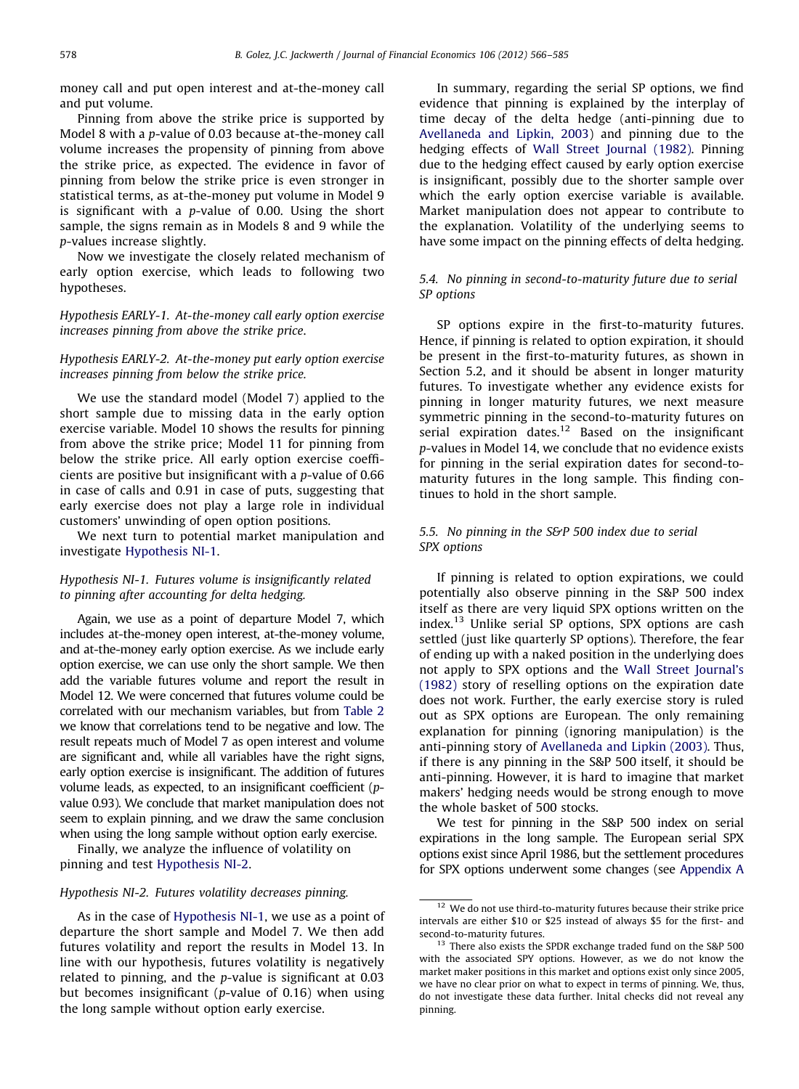money call and put open interest and at-the-money call and put volume.

Pinning from above the strike price is supported by Model 8 with a p-value of 0.03 because at-the-money call volume increases the propensity of pinning from above the strike price, as expected. The evidence in favor of pinning from below the strike price is even stronger in statistical terms, as at-the-money put volume in Model 9 is significant with a  $p$ -value of 0.00. Using the short sample, the signs remain as in Models 8 and 9 while the p-values increase slightly.

Now we investigate the closely related mechanism of early option exercise, which leads to following two hypotheses.

Hypothesis EARLY-1. At-the-money call early option exercise increases pinning from above the strike price.

## Hypothesis EARLY-2. At-the-money put early option exercise increases pinning from below the strike price.

We use the standard model (Model 7) applied to the short sample due to missing data in the early option exercise variable. Model 10 shows the results for pinning from above the strike price; Model 11 for pinning from below the strike price. All early option exercise coefficients are positive but insignificant with a p-value of 0.66 in case of calls and 0.91 in case of puts, suggesting that early exercise does not play a large role in individual customers' unwinding of open option positions.

We next turn to potential market manipulation and investigate Hypothesis NI-1.

## Hypothesis NI-1. Futures volume is insignificantly related to pinning after accounting for delta hedging.

Again, we use as a point of departure Model 7, which includes at-the-money open interest, at-the-money volume, and at-the-money early option exercise. As we include early option exercise, we can use only the short sample. We then add the variable futures volume and report the result in Model 12. We were concerned that futures volume could be correlated with our mechanism variables, but from [Table 2](#page-10-0) we know that correlations tend to be negative and low. The result repeats much of Model 7 as open interest and volume are significant and, while all variables have the right signs, early option exercise is insignificant. The addition of futures volume leads, as expected, to an insignificant coefficient (pvalue 0.93). We conclude that market manipulation does not seem to explain pinning, and we draw the same conclusion when using the long sample without option early exercise.

Finally, we analyze the influence of volatility on pinning and test Hypothesis NI-2.

## Hypothesis NI-2. Futures volatility decreases pinning.

As in the case of Hypothesis NI-1, we use as a point of departure the short sample and Model 7. We then add futures volatility and report the results in Model 13. In line with our hypothesis, futures volatility is negatively related to pinning, and the p-value is significant at 0.03 but becomes insignificant (p-value of 0.16) when using the long sample without option early exercise.

In summary, regarding the serial SP options, we find evidence that pinning is explained by the interplay of time decay of the delta hedge (anti-pinning due to [Avellaneda and Lipkin, 2003\)](#page-18-0) and pinning due to the hedging effects of [Wall Street Journal \(1982\)](#page-19-0). Pinning due to the hedging effect caused by early option exercise is insignificant, possibly due to the shorter sample over which the early option exercise variable is available. Market manipulation does not appear to contribute to the explanation. Volatility of the underlying seems to have some impact on the pinning effects of delta hedging.

## 5.4. No pinning in second-to-maturity future due to serial SP options

SP options expire in the first-to-maturity futures. Hence, if pinning is related to option expiration, it should be present in the first-to-maturity futures, as shown in Section 5.2, and it should be absent in longer maturity futures. To investigate whether any evidence exists for pinning in longer maturity futures, we next measure symmetric pinning in the second-to-maturity futures on serial expiration dates.<sup>12</sup> Based on the insignificant p-values in Model 14, we conclude that no evidence exists for pinning in the serial expiration dates for second-tomaturity futures in the long sample. This finding continues to hold in the short sample.

## 5.5. No pinning in the S&P 500 index due to serial SPX options

If pinning is related to option expirations, we could potentially also observe pinning in the S&P 500 index itself as there are very liquid SPX options written on the index.<sup>13</sup> Unlike serial SP options, SPX options are cash settled (just like quarterly SP options). Therefore, the fear of ending up with a naked position in the underlying does not apply to SPX options and the [Wall Street Journal's](#page-19-0) [\(1982\)](#page-19-0) story of reselling options on the expiration date does not work. Further, the early exercise story is ruled out as SPX options are European. The only remaining explanation for pinning (ignoring manipulation) is the anti-pinning story of [Avellaneda and Lipkin \(2003\)](#page-18-0). Thus, if there is any pinning in the S&P 500 itself, it should be anti-pinning. However, it is hard to imagine that market makers' hedging needs would be strong enough to move the whole basket of 500 stocks.

We test for pinning in the S&P 500 index on serial expirations in the long sample. The European serial SPX options exist since April 1986, but the settlement procedures for SPX options underwent some changes (see [Appendix A](#page-16-0)

 $12$  We do not use third-to-maturity futures because their strike price intervals are either \$10 or \$25 instead of always \$5 for the first- and second-to-maturity futures.

<sup>&</sup>lt;sup>13</sup> There also exists the SPDR exchange traded fund on the S&P 500 with the associated SPY options. However, as we do not know the market maker positions in this market and options exist only since 2005, we have no clear prior on what to expect in terms of pinning. We, thus, do not investigate these data further. Inital checks did not reveal any pinning.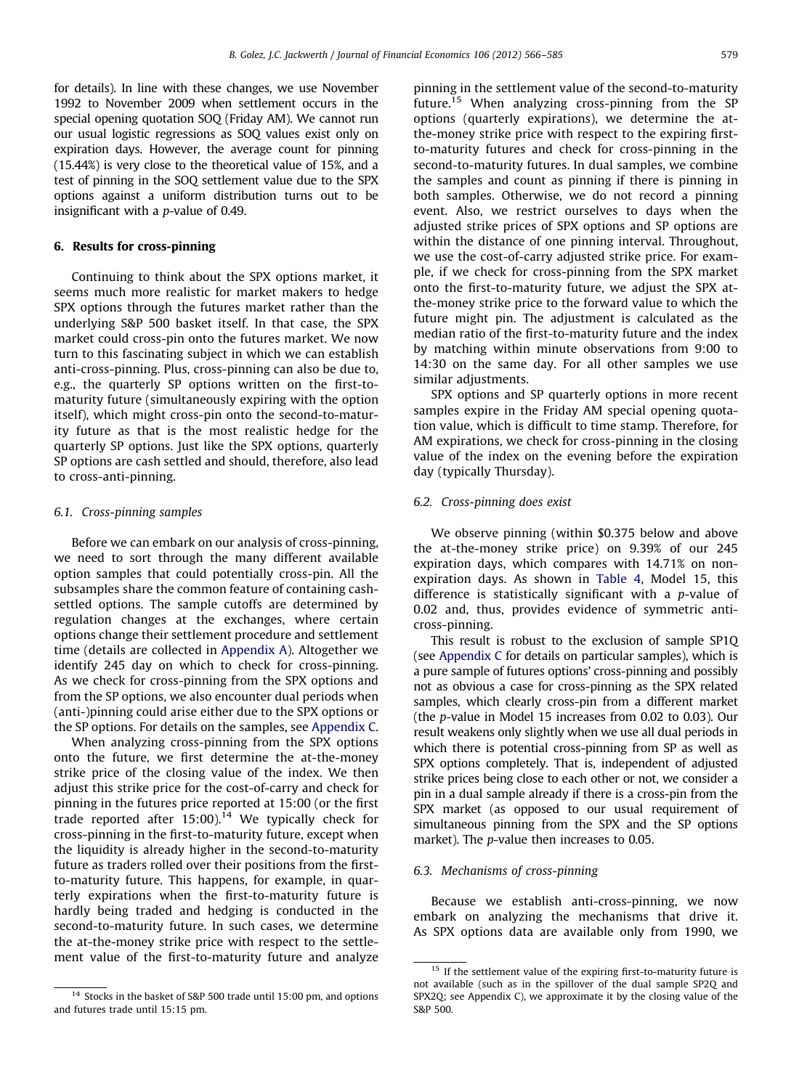<span id="page-13-0"></span>for details). In line with these changes, we use November 1992 to November 2009 when settlement occurs in the special opening quotation SOQ (Friday AM). We cannot run our usual logistic regressions as SOQ values exist only on expiration days. However, the average count for pinning (15.44%) is very close to the theoretical value of 15%, and a test of pinning in the SOQ settlement value due to the SPX options against a uniform distribution turns out to be insignificant with a p-value of 0.49.

## 6. Results for cross-pinning

Continuing to think about the SPX options market, it seems much more realistic for market makers to hedge SPX options through the futures market rather than the underlying S&P 500 basket itself. In that case, the SPX market could cross-pin onto the futures market. We now turn to this fascinating subject in which we can establish anti-cross-pinning. Plus, cross-pinning can also be due to, e.g., the quarterly SP options written on the first-tomaturity future (simultaneously expiring with the option itself), which might cross-pin onto the second-to-maturity future as that is the most realistic hedge for the quarterly SP options. Just like the SPX options, quarterly SP options are cash settled and should, therefore, also lead to cross-anti-pinning.

## 6.1. Cross-pinning samples

Before we can embark on our analysis of cross-pinning, we need to sort through the many different available option samples that could potentially cross-pin. All the subsamples share the common feature of containing cashsettled options. The sample cutoffs are determined by regulation changes at the exchanges, where certain options change their settlement procedure and settlement time (details are collected in [Appendix A\)](#page-16-0). Altogether we identify 245 day on which to check for cross-pinning. As we check for cross-pinning from the SPX options and from the SP options, we also encounter dual periods when (anti-)pinning could arise either due to the SPX options or the SP options. For details on the samples, see [Appendix C](#page-17-0).

When analyzing cross-pinning from the SPX options onto the future, we first determine the at-the-money strike price of the closing value of the index. We then adjust this strike price for the cost-of-carry and check for pinning in the futures price reported at 15:00 (or the first trade reported after  $15:00$ ).<sup>14</sup> We typically check for cross-pinning in the first-to-maturity future, except when the liquidity is already higher in the second-to-maturity future as traders rolled over their positions from the firstto-maturity future. This happens, for example, in quarterly expirations when the first-to-maturity future is hardly being traded and hedging is conducted in the second-to-maturity future. In such cases, we determine the at-the-money strike price with respect to the settlement value of the first-to-maturity future and analyze pinning in the settlement value of the second-to-maturity future.15 When analyzing cross-pinning from the SP options (quarterly expirations), we determine the atthe-money strike price with respect to the expiring firstto-maturity futures and check for cross-pinning in the second-to-maturity futures. In dual samples, we combine the samples and count as pinning if there is pinning in both samples. Otherwise, we do not record a pinning event. Also, we restrict ourselves to days when the adjusted strike prices of SPX options and SP options are within the distance of one pinning interval. Throughout, we use the cost-of-carry adjusted strike price. For example, if we check for cross-pinning from the SPX market onto the first-to-maturity future, we adjust the SPX atthe-money strike price to the forward value to which the future might pin. The adjustment is calculated as the median ratio of the first-to-maturity future and the index by matching within minute observations from 9:00 to 14:30 on the same day. For all other samples we use similar adjustments.

SPX options and SP quarterly options in more recent samples expire in the Friday AM special opening quotation value, which is difficult to time stamp. Therefore, for AM expirations, we check for cross-pinning in the closing value of the index on the evening before the expiration day (typically Thursday).

## 6.2. Cross-pinning does exist

We observe pinning (within \$0.375 below and above the at-the-money strike price) on 9.39% of our 245 expiration days, which compares with 14.71% on nonexpiration days. As shown in [Table 4,](#page-14-0) Model 15, this difference is statistically significant with a p-value of 0.02 and, thus, provides evidence of symmetric anticross-pinning.

This result is robust to the exclusion of sample SP1Q (see [Appendix C](#page-17-0) for details on particular samples), which is a pure sample of futures options' cross-pinning and possibly not as obvious a case for cross-pinning as the SPX related samples, which clearly cross-pin from a different market (the p-value in Model 15 increases from 0.02 to 0.03). Our result weakens only slightly when we use all dual periods in which there is potential cross-pinning from SP as well as SPX options completely. That is, independent of adjusted strike prices being close to each other or not, we consider a pin in a dual sample already if there is a cross-pin from the SPX market (as opposed to our usual requirement of simultaneous pinning from the SPX and the SP options market). The p-value then increases to 0.05.

#### 6.3. Mechanisms of cross-pinning

Because we establish anti-cross-pinning, we now embark on analyzing the mechanisms that drive it. As SPX options data are available only from 1990, we

<sup>&</sup>lt;sup>14</sup> Stocks in the basket of S&P 500 trade until 15:00 pm, and options and futures trade until 15:15 pm.

 $15$  If the settlement value of the expiring first-to-maturity future is not available (such as in the spillover of the dual sample SP2Q and SPX2Q; see Appendix C), we approximate it by the closing value of the S&P 500.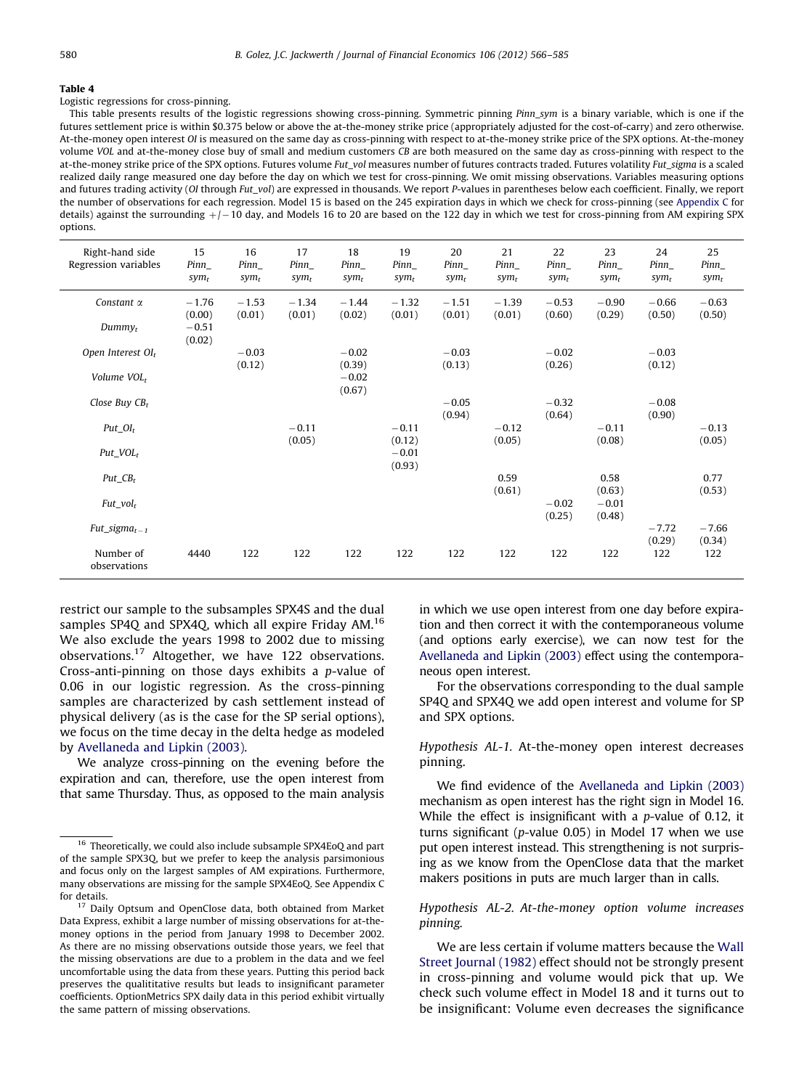#### <span id="page-14-0"></span>Table 4

Logistic regressions for cross-pinning.

This table presents results of the logistic regressions showing cross-pinning. Symmetric pinning Pinn\_sym is a binary variable, which is one if the futures settlement price is within \$0.375 below or above the at-the-money strike price (appropriately adjusted for the cost-of-carry) and zero otherwise. At-the-money open interest OI is measured on the same day as cross-pinning with respect to at-the-money strike price of the SPX options. At-the-money volume VOL and at-the-money close buy of small and medium customers CB are both measured on the same day as cross-pinning with respect to the at-the-money strike price of the SPX options. Futures volume Fut\_vol measures number of futures contracts traded. Futures volatility Fut\_sigma is a scaled realized daily range measured one day before the day on which we test for cross-pinning. We omit missing observations. Variables measuring options and futures trading activity (OI through Fut\_vol) are expressed in thousands. We report P-values in parentheses below each coefficient. Finally, we report the number of observations for each regression. Model 15 is based on the 245 expiration days in which we check for cross-pinning (see [Appendix C](#page-17-0) for details) against the surrounding  $+/-$  10 day, and Models 16 to 20 are based on the 122 day in which we test for cross-pinning from AM expiring SPX options.

| Right-hand side<br>Regression variables | 15<br>$Pinn_$<br>$sym_t$     | 16<br>$Pinn_$<br>$sym_t$ | 17<br>$Pinn_$<br>sym <sub>t</sub> | 18<br>$Pinn_$<br>$sym_t$    | 19<br>$Pinn_$<br>sym <sub>t</sub> | 20<br>$Pinn_$<br>$sym_t$ | 21<br>Pinn<br>$sym_t$ | 22<br>$Pinn_$<br>$sym_t$ | 23<br>Pinn<br>sym <sub>t</sub> | 24<br>$Pinn_$<br>$sym_t$ | 25<br>$Pinn_$<br>$sym_t$ |
|-----------------------------------------|------------------------------|--------------------------|-----------------------------------|-----------------------------|-----------------------------------|--------------------------|-----------------------|--------------------------|--------------------------------|--------------------------|--------------------------|
| Constant $\alpha$<br>$Dummv_t$          | $-1.76$<br>(0.00)<br>$-0.51$ | $-1.53$<br>(0.01)        | $-1.34$<br>(0.01)                 | $-1.44$<br>(0.02)           | $-1.32$<br>(0.01)                 | $-1.51$<br>(0.01)        | $-1.39$<br>(0.01)     | $-0.53$<br>(0.60)        | $-0.90$<br>(0.29)              | $-0.66$<br>(0.50)        | $-0.63$<br>(0.50)        |
|                                         | (0.02)                       |                          |                                   |                             |                                   |                          |                       |                          |                                |                          |                          |
| Open Interest $OI_t$                    |                              | $-0.03$                  |                                   | $-0.02$                     |                                   | $-0.03$                  |                       | $-0.02$                  |                                | $-0.03$                  |                          |
| Volume VOL <sub>t</sub>                 |                              | (0.12)                   |                                   | (0.39)<br>$-0.02$<br>(0.67) |                                   | (0.13)                   |                       | (0.26)                   |                                | (0.12)                   |                          |
| Close Buy $CBr$                         |                              |                          |                                   |                             |                                   | $-0.05$                  |                       | $-0.32$                  |                                | $-0.08$                  |                          |
|                                         |                              |                          |                                   |                             |                                   | (0.94)                   |                       | (0.64)                   |                                | (0.90)                   |                          |
| $Put_0I_t$                              |                              |                          | $-0.11$<br>(0.05)                 |                             | $-0.11$<br>(0.12)                 |                          | $-0.12$<br>(0.05)     |                          | $-0.11$<br>(0.08)              |                          | $-0.13$<br>(0.05)        |
| $Put\_VOL_t$                            |                              |                          |                                   |                             | $-0.01$<br>(0.93)                 |                          |                       |                          |                                |                          |                          |
| $Put\_CB_{t}$                           |                              |                          |                                   |                             |                                   |                          | 0.59                  |                          | 0.58                           |                          | 0.77                     |
| $Fut\_vol_t$                            |                              |                          |                                   |                             |                                   |                          | (0.61)                | $-0.02$<br>(0.25)        | (0.63)<br>$-0.01$<br>(0.48)    |                          | (0.53)                   |
| $Fut\_sigma_{t-1}$                      |                              |                          |                                   |                             |                                   |                          |                       |                          |                                | $-7.72$                  | $-7.66$                  |
| Number of<br>observations               | 4440                         | 122                      | 122                               | 122                         | 122                               | 122                      | 122                   | 122                      | 122                            | (0.29)<br>122            | (0.34)<br>122            |

restrict our sample to the subsamples SPX4S and the dual samples SP4Q and SPX4Q, which all expire Friday AM.<sup>16</sup> We also exclude the years 1998 to 2002 due to missing observations.17 Altogether, we have 122 observations. Cross-anti-pinning on those days exhibits a p-value of 0.06 in our logistic regression. As the cross-pinning samples are characterized by cash settlement instead of physical delivery (as is the case for the SP serial options), we focus on the time decay in the delta hedge as modeled by [Avellaneda and Lipkin \(2003\).](#page-18-0)

We analyze cross-pinning on the evening before the expiration and can, therefore, use the open interest from that same Thursday. Thus, as opposed to the main analysis

in which we use open interest from one day before expiration and then correct it with the contemporaneous volume (and options early exercise), we can now test for the [Avellaneda and Lipkin \(2003\)](#page-18-0) effect using the contemporaneous open interest.

For the observations corresponding to the dual sample SP4Q and SPX4Q we add open interest and volume for SP and SPX options.

Hypothesis AL-1. At-the-money open interest decreases pinning.

We find evidence of the [Avellaneda and Lipkin \(2003\)](#page-18-0) mechanism as open interest has the right sign in Model 16. While the effect is insignificant with a p-value of 0.12, it turns significant (p-value 0.05) in Model 17 when we use put open interest instead. This strengthening is not surprising as we know from the OpenClose data that the market makers positions in puts are much larger than in calls.

## Hypothesis AL-2. At-the-money option volume increases pinning.

We are less certain if volume matters because the [Wall](#page-19-0) [Street Journal \(1982\)](#page-19-0) effect should not be strongly present in cross-pinning and volume would pick that up. We check such volume effect in Model 18 and it turns out to be insignificant: Volume even decreases the significance

<sup>&</sup>lt;sup>16</sup> Theoretically, we could also include subsample SPX4EoQ and part of the sample SPX3Q, but we prefer to keep the analysis parsimonious and focus only on the largest samples of AM expirations. Furthermore, many observations are missing for the sample SPX4EoQ. See Appendix C for details.

<sup>&</sup>lt;sup>17</sup> Daily Optsum and OpenClose data, both obtained from Market Data Express, exhibit a large number of missing observations for at-themoney options in the period from January 1998 to December 2002. As there are no missing observations outside those years, we feel that the missing observations are due to a problem in the data and we feel uncomfortable using the data from these years. Putting this period back preserves the qualititative results but leads to insignificant parameter coefficients. OptionMetrics SPX daily data in this period exhibit virtually the same pattern of missing observations.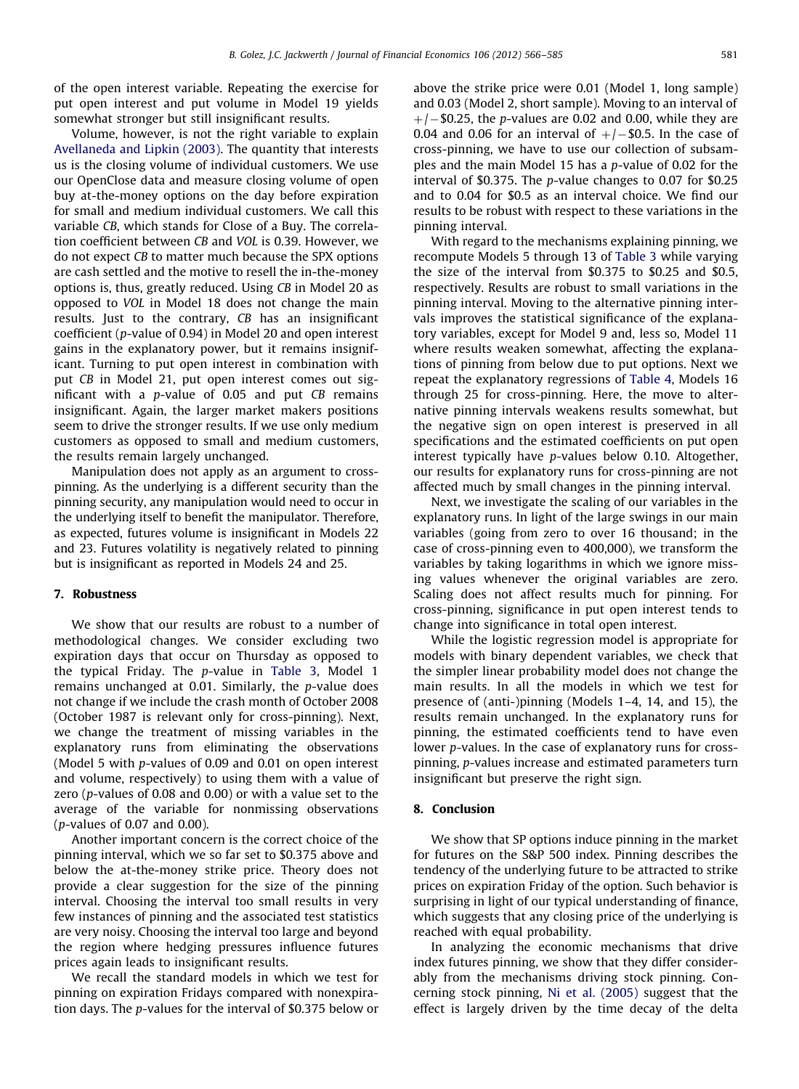<span id="page-15-0"></span>of the open interest variable. Repeating the exercise for put open interest and put volume in Model 19 yields somewhat stronger but still insignificant results.

Volume, however, is not the right variable to explain [Avellaneda and Lipkin \(2003\)](#page-18-0). The quantity that interests us is the closing volume of individual customers. We use our OpenClose data and measure closing volume of open buy at-the-money options on the day before expiration for small and medium individual customers. We call this variable CB, which stands for Close of a Buy. The correlation coefficient between CB and VOL is 0.39. However, we do not expect CB to matter much because the SPX options are cash settled and the motive to resell the in-the-money options is, thus, greatly reduced. Using CB in Model 20 as opposed to VOL in Model 18 does not change the main results. Just to the contrary, CB has an insignificant coefficient (p-value of 0.94) in Model 20 and open interest gains in the explanatory power, but it remains insignificant. Turning to put open interest in combination with put CB in Model 21, put open interest comes out significant with a p-value of 0.05 and put CB remains insignificant. Again, the larger market makers positions seem to drive the stronger results. If we use only medium customers as opposed to small and medium customers, the results remain largely unchanged.

Manipulation does not apply as an argument to crosspinning. As the underlying is a different security than the pinning security, any manipulation would need to occur in the underlying itself to benefit the manipulator. Therefore, as expected, futures volume is insignificant in Models 22 and 23. Futures volatility is negatively related to pinning but is insignificant as reported in Models 24 and 25.

## 7. Robustness

We show that our results are robust to a number of methodological changes. We consider excluding two expiration days that occur on Thursday as opposed to the typical Friday. The p-value in [Table 3,](#page-10-0) Model 1 remains unchanged at 0.01. Similarly, the p-value does not change if we include the crash month of October 2008 (October 1987 is relevant only for cross-pinning). Next, we change the treatment of missing variables in the explanatory runs from eliminating the observations (Model 5 with p-values of 0.09 and 0.01 on open interest and volume, respectively) to using them with a value of zero (p-values of 0.08 and 0.00) or with a value set to the average of the variable for nonmissing observations (p-values of 0.07 and 0.00).

Another important concern is the correct choice of the pinning interval, which we so far set to \$0.375 above and below the at-the-money strike price. Theory does not provide a clear suggestion for the size of the pinning interval. Choosing the interval too small results in very few instances of pinning and the associated test statistics are very noisy. Choosing the interval too large and beyond the region where hedging pressures influence futures prices again leads to insignificant results.

We recall the standard models in which we test for pinning on expiration Fridays compared with nonexpiration days. The p-values for the interval of \$0.375 below or above the strike price were 0.01 (Model 1, long sample) and 0.03 (Model 2, short sample). Moving to an interval of  $+/-$ \$0.25, the p-values are 0.02 and 0.00, while they are 0.04 and 0.06 for an interval of  $+/-$ \$0.5. In the case of cross-pinning, we have to use our collection of subsamples and the main Model 15 has a p-value of 0.02 for the interval of \$0.375. The p-value changes to 0.07 for \$0.25 and to 0.04 for \$0.5 as an interval choice. We find our results to be robust with respect to these variations in the pinning interval.

With regard to the mechanisms explaining pinning, we recompute Models 5 through 13 of [Table 3](#page-10-0) while varying the size of the interval from \$0.375 to \$0.25 and \$0.5, respectively. Results are robust to small variations in the pinning interval. Moving to the alternative pinning intervals improves the statistical significance of the explanatory variables, except for Model 9 and, less so, Model 11 where results weaken somewhat, affecting the explanations of pinning from below due to put options. Next we repeat the explanatory regressions of [Table 4,](#page-14-0) Models 16 through 25 for cross-pinning. Here, the move to alternative pinning intervals weakens results somewhat, but the negative sign on open interest is preserved in all specifications and the estimated coefficients on put open interest typically have p-values below 0.10. Altogether, our results for explanatory runs for cross-pinning are not affected much by small changes in the pinning interval.

Next, we investigate the scaling of our variables in the explanatory runs. In light of the large swings in our main variables (going from zero to over 16 thousand; in the case of cross-pinning even to 400,000), we transform the variables by taking logarithms in which we ignore missing values whenever the original variables are zero. Scaling does not affect results much for pinning. For cross-pinning, significance in put open interest tends to change into significance in total open interest.

While the logistic regression model is appropriate for models with binary dependent variables, we check that the simpler linear probability model does not change the main results. In all the models in which we test for presence of (anti-)pinning (Models 1–4, 14, and 15), the results remain unchanged. In the explanatory runs for pinning, the estimated coefficients tend to have even lower p-values. In the case of explanatory runs for crosspinning, p-values increase and estimated parameters turn insignificant but preserve the right sign.

## 8. Conclusion

We show that SP options induce pinning in the market for futures on the S&P 500 index. Pinning describes the tendency of the underlying future to be attracted to strike prices on expiration Friday of the option. Such behavior is surprising in light of our typical understanding of finance, which suggests that any closing price of the underlying is reached with equal probability.

In analyzing the economic mechanisms that drive index futures pinning, we show that they differ considerably from the mechanisms driving stock pinning. Concerning stock pinning, [Ni et al. \(2005\)](#page-18-0) suggest that the effect is largely driven by the time decay of the delta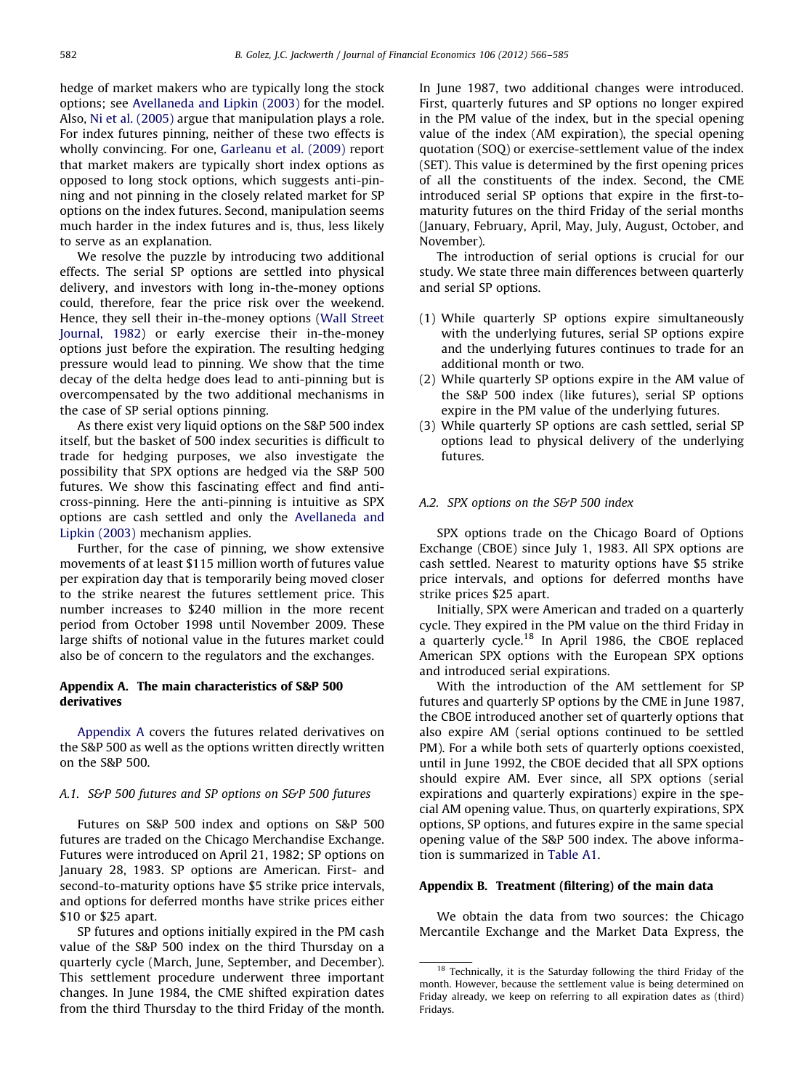<span id="page-16-0"></span>hedge of market makers who are typically long the stock options; see [Avellaneda and Lipkin \(2003\)](#page-18-0) for the model. Also, [Ni et al. \(2005\)](#page-18-0) argue that manipulation plays a role. For index futures pinning, neither of these two effects is wholly convincing. For one, [Garleanu et al. \(2009\)](#page-18-0) report that market makers are typically short index options as opposed to long stock options, which suggests anti-pinning and not pinning in the closely related market for SP options on the index futures. Second, manipulation seems much harder in the index futures and is, thus, less likely to serve as an explanation.

We resolve the puzzle by introducing two additional effects. The serial SP options are settled into physical delivery, and investors with long in-the-money options could, therefore, fear the price risk over the weekend. Hence, they sell their in-the-money options [\(Wall Street](#page-19-0) [Journal, 1982](#page-19-0)) or early exercise their in-the-money options just before the expiration. The resulting hedging pressure would lead to pinning. We show that the time decay of the delta hedge does lead to anti-pinning but is overcompensated by the two additional mechanisms in the case of SP serial options pinning.

As there exist very liquid options on the S&P 500 index itself, but the basket of 500 index securities is difficult to trade for hedging purposes, we also investigate the possibility that SPX options are hedged via the S&P 500 futures. We show this fascinating effect and find anticross-pinning. Here the anti-pinning is intuitive as SPX options are cash settled and only the [Avellaneda and](#page-18-0) [Lipkin \(2003\)](#page-18-0) mechanism applies.

Further, for the case of pinning, we show extensive movements of at least \$115 million worth of futures value per expiration day that is temporarily being moved closer to the strike nearest the futures settlement price. This number increases to \$240 million in the more recent period from October 1998 until November 2009. These large shifts of notional value in the futures market could also be of concern to the regulators and the exchanges.

## Appendix A. The main characteristics of S&P 500 derivatives

Appendix A covers the futures related derivatives on the S&P 500 as well as the options written directly written on the S&P 500.

## A.1. S&P 500 futures and SP options on S&P 500 futures

Futures on S&P 500 index and options on S&P 500 futures are traded on the Chicago Merchandise Exchange. Futures were introduced on April 21, 1982; SP options on January 28, 1983. SP options are American. First- and second-to-maturity options have \$5 strike price intervals, and options for deferred months have strike prices either \$10 or \$25 apart.

SP futures and options initially expired in the PM cash value of the S&P 500 index on the third Thursday on a quarterly cycle (March, June, September, and December). This settlement procedure underwent three important changes. In June 1984, the CME shifted expiration dates from the third Thursday to the third Friday of the month.

In June 1987, two additional changes were introduced. First, quarterly futures and SP options no longer expired in the PM value of the index, but in the special opening value of the index (AM expiration), the special opening quotation (SOQ) or exercise-settlement value of the index (SET). This value is determined by the first opening prices of all the constituents of the index. Second, the CME introduced serial SP options that expire in the first-tomaturity futures on the third Friday of the serial months (January, February, April, May, July, August, October, and November).

The introduction of serial options is crucial for our study. We state three main differences between quarterly and serial SP options.

- (1) While quarterly SP options expire simultaneously with the underlying futures, serial SP options expire and the underlying futures continues to trade for an additional month or two.
- (2) While quarterly SP options expire in the AM value of the S&P 500 index (like futures), serial SP options expire in the PM value of the underlying futures.
- (3) While quarterly SP options are cash settled, serial SP options lead to physical delivery of the underlying futures.

## A.2. SPX options on the S&P 500 index

SPX options trade on the Chicago Board of Options Exchange (CBOE) since July 1, 1983. All SPX options are cash settled. Nearest to maturity options have \$5 strike price intervals, and options for deferred months have strike prices \$25 apart.

Initially, SPX were American and traded on a quarterly cycle. They expired in the PM value on the third Friday in a quarterly cycle.<sup>18</sup> In April 1986, the CBOE replaced American SPX options with the European SPX options and introduced serial expirations.

With the introduction of the AM settlement for SP futures and quarterly SP options by the CME in June 1987, the CBOE introduced another set of quarterly options that also expire AM (serial options continued to be settled PM). For a while both sets of quarterly options coexisted, until in June 1992, the CBOE decided that all SPX options should expire AM. Ever since, all SPX options (serial expirations and quarterly expirations) expire in the special AM opening value. Thus, on quarterly expirations, SPX options, SP options, and futures expire in the same special opening value of the S&P 500 index. The above information is summarized in [Table A1](#page-17-0).

## Appendix B. Treatment (filtering) of the main data

We obtain the data from two sources: the Chicago Mercantile Exchange and the Market Data Express, the

<sup>&</sup>lt;sup>18</sup> Technically, it is the Saturday following the third Friday of the month. However, because the settlement value is being determined on Friday already, we keep on referring to all expiration dates as (third) Fridays.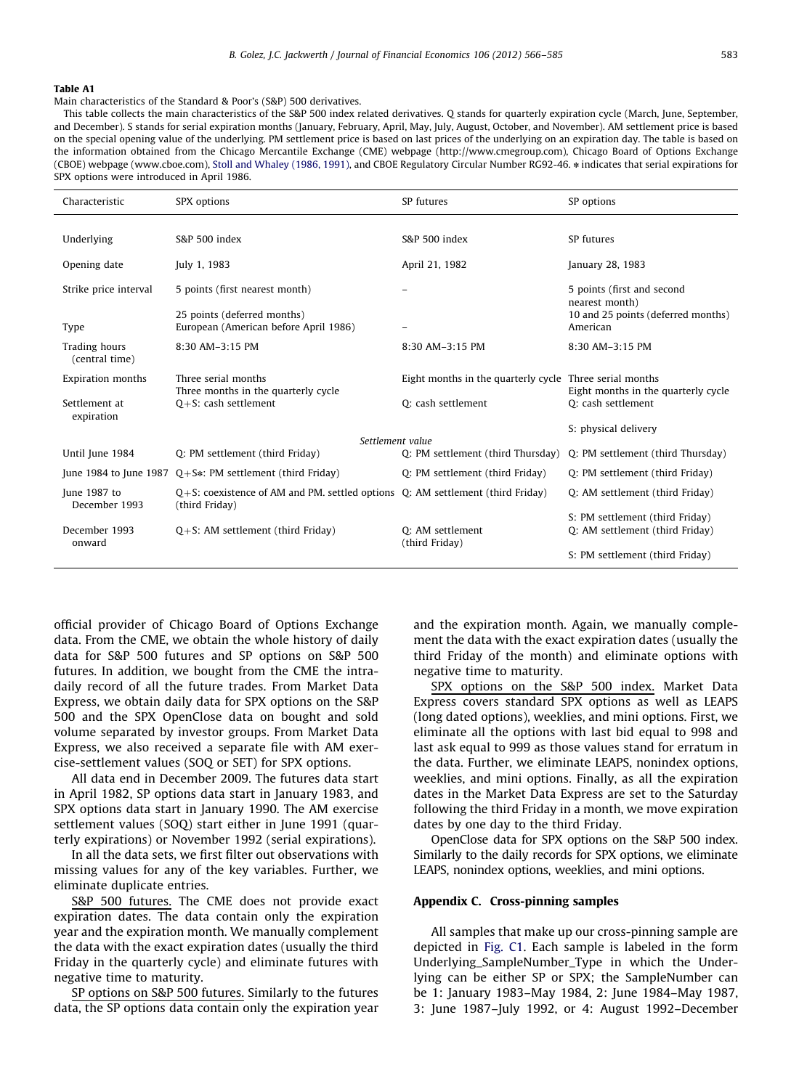#### <span id="page-17-0"></span>Table A1

Main characteristics of the Standard & Poor's (S&P) 500 derivatives.

This table collects the main characteristics of the S&P 500 index related derivatives. Q stands for quarterly expiration cycle (March, June, September, and December). S stands for serial expiration months (January, February, April, May, July, August, October, and November). AM settlement price is based on the special opening value of the underlying. PM settlement price is based on last prices of the underlying on an expiration day. The table is based on the information obtained from the Chicago Mercantile Exchange (CME) webpage (http://www.cmegroup.com), Chicago Board of Options Exchange (CBOE) webpage (www.cboe.com), [Stoll and Whaley \(1986, 1991\)](#page-19-0), and CBOE Regulatory Circular Number RG92-46.  $*$  indicates that serial expirations for SPX options were introduced in April 1986.

| Characteristic                  | SPX options                                                                                           | SP futures                                              | SP options                                                |
|---------------------------------|-------------------------------------------------------------------------------------------------------|---------------------------------------------------------|-----------------------------------------------------------|
|                                 |                                                                                                       |                                                         |                                                           |
| Underlying                      | S&P 500 index                                                                                         | S&P 500 index                                           | SP futures                                                |
| Opening date                    | July 1, 1983                                                                                          | April 21, 1982                                          | January 28, 1983                                          |
| Strike price interval           | 5 points (first nearest month)                                                                        |                                                         | 5 points (first and second<br>nearest month)              |
|                                 | 25 points (deferred months)                                                                           |                                                         | 10 and 25 points (deferred months)                        |
| Type                            | European (American before April 1986)                                                                 | -                                                       | American                                                  |
| Trading hours<br>(central time) | 8:30 AM-3:15 PM                                                                                       | 8:30 AM-3:15 PM                                         | 8:30 AM-3:15 PM                                           |
| <b>Expiration months</b>        | Three serial months                                                                                   | Eight months in the quarterly cycle Three serial months |                                                           |
| Settlement at                   | Three months in the quarterly cycle<br>$Q + S$ : cash settlement                                      | Q: cash settlement                                      | Eight months in the quarterly cycle<br>O: cash settlement |
| expiration                      |                                                                                                       |                                                         |                                                           |
|                                 |                                                                                                       |                                                         | S: physical delivery                                      |
|                                 | Settlement value                                                                                      |                                                         |                                                           |
| Until June 1984                 | Q: PM settlement (third Friday)                                                                       | Q: PM settlement (third Thursday)                       | Q: PM settlement (third Thursday)                         |
| June 1984 to June 1987          | $Q + S$ : PM settlement (third Friday)                                                                | Q: PM settlement (third Friday)                         | Q: PM settlement (third Friday)                           |
| June 1987 to<br>December 1993   | $Q + S$ : coexistence of AM and PM. settled options Q: AM settlement (third Friday)<br>(third Friday) |                                                         | Q: AM settlement (third Friday)                           |
|                                 |                                                                                                       |                                                         | S: PM settlement (third Friday)                           |
| December 1993<br>onward         | $Q + S$ : AM settlement (third Friday)                                                                | Q: AM settlement<br>(third Friday)                      | Q: AM settlement (third Friday)                           |
|                                 |                                                                                                       |                                                         | S: PM settlement (third Friday)                           |

official provider of Chicago Board of Options Exchange data. From the CME, we obtain the whole history of daily data for S&P 500 futures and SP options on S&P 500 futures. In addition, we bought from the CME the intradaily record of all the future trades. From Market Data Express, we obtain daily data for SPX options on the S&P 500 and the SPX OpenClose data on bought and sold volume separated by investor groups. From Market Data Express, we also received a separate file with AM exercise-settlement values (SOQ or SET) for SPX options.

All data end in December 2009. The futures data start in April 1982, SP options data start in January 1983, and SPX options data start in January 1990. The AM exercise settlement values (SOQ) start either in June 1991 (quarterly expirations) or November 1992 (serial expirations).

In all the data sets, we first filter out observations with missing values for any of the key variables. Further, we eliminate duplicate entries.

S&P 500 futures. The CME does not provide exact expiration dates. The data contain only the expiration year and the expiration month. We manually complement the data with the exact expiration dates (usually the third Friday in the quarterly cycle) and eliminate futures with negative time to maturity.

SP options on S&P 500 futures. Similarly to the futures data, the SP options data contain only the expiration year and the expiration month. Again, we manually complement the data with the exact expiration dates (usually the third Friday of the month) and eliminate options with negative time to maturity.

SPX options on the S&P 500 index. Market Data Express covers standard SPX options as well as LEAPS (long dated options), weeklies, and mini options. First, we eliminate all the options with last bid equal to 998 and last ask equal to 999 as those values stand for erratum in the data. Further, we eliminate LEAPS, nonindex options, weeklies, and mini options. Finally, as all the expiration dates in the Market Data Express are set to the Saturday following the third Friday in a month, we move expiration dates by one day to the third Friday.

OpenClose data for SPX options on the S&P 500 index. Similarly to the daily records for SPX options, we eliminate LEAPS, nonindex options, weeklies, and mini options.

## Appendix C. Cross-pinning samples

All samples that make up our cross-pinning sample are depicted in [Fig. C1.](#page-18-0) Each sample is labeled in the form Underlying\_SampleNumber\_Type in which the Underlying can be either SP or SPX; the SampleNumber can be 1: January 1983–May 1984, 2: June 1984–May 1987, 3: June 1987–July 1992, or 4: August 1992–December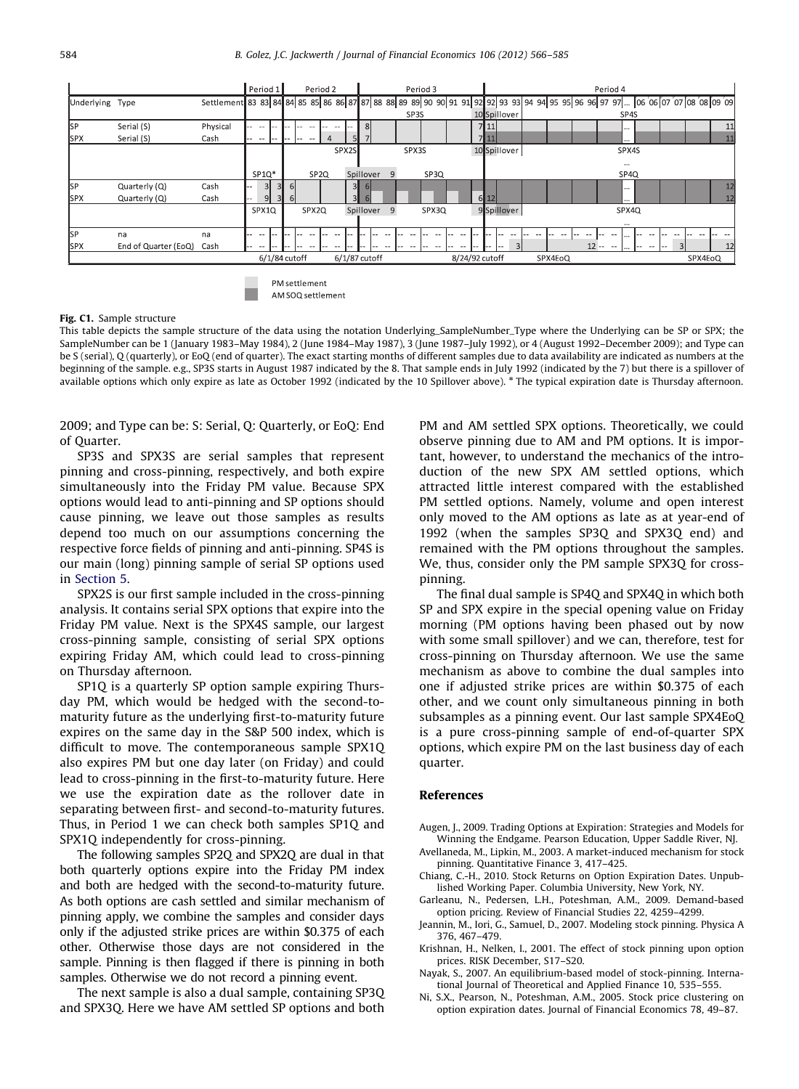<span id="page-18-0"></span>

AM SOO settlement

#### Fig. C1. Sample structure

This table depicts the sample structure of the data using the notation Underlying SampleNumber Type where the Underlying can be SP or SPX; the SampleNumber can be 1 (January 1983–May 1984), 2 (June 1984–May 1987), 3 (June 1987–July 1992), or 4 (August 1992–December 2009); and Type can be S (serial), Q (quarterly), or EoQ (end of quarter). The exact starting months of different samples due to data availability are indicated as numbers at the beginning of the sample. e.g., SP3S starts in August 1987 indicated by the 8. That sample ends in July 1992 (indicated by the 7) but there is a spillover of available options which only expire as late as October 1992 (indicated by the 10 Spillover above). \* The typical expiration date is Thursday afternoon.

2009; and Type can be: S: Serial, Q: Quarterly, or EoQ: End of Quarter.

SP3S and SPX3S are serial samples that represent pinning and cross-pinning, respectively, and both expire simultaneously into the Friday PM value. Because SPX options would lead to anti-pinning and SP options should cause pinning, we leave out those samples as results depend too much on our assumptions concerning the respective force fields of pinning and anti-pinning. SP4S is our main (long) pinning sample of serial SP options used in [Section 5.](#page-6-0)

SPX2S is our first sample included in the cross-pinning analysis. It contains serial SPX options that expire into the Friday PM value. Next is the SPX4S sample, our largest cross-pinning sample, consisting of serial SPX options expiring Friday AM, which could lead to cross-pinning on Thursday afternoon.

SP1Q is a quarterly SP option sample expiring Thursday PM, which would be hedged with the second-tomaturity future as the underlying first-to-maturity future expires on the same day in the S&P 500 index, which is difficult to move. The contemporaneous sample SPX1Q also expires PM but one day later (on Friday) and could lead to cross-pinning in the first-to-maturity future. Here we use the expiration date as the rollover date in separating between first- and second-to-maturity futures. Thus, in Period 1 we can check both samples SP1Q and SPX1Q independently for cross-pinning.

The following samples SP2Q and SPX2Q are dual in that both quarterly options expire into the Friday PM index and both are hedged with the second-to-maturity future. As both options are cash settled and similar mechanism of pinning apply, we combine the samples and consider days only if the adjusted strike prices are within \$0.375 of each other. Otherwise those days are not considered in the sample. Pinning is then flagged if there is pinning in both samples. Otherwise we do not record a pinning event.

The next sample is also a dual sample, containing SP3Q and SPX3Q. Here we have AM settled SP options and both

PM and AM settled SPX options. Theoretically, we could observe pinning due to AM and PM options. It is important, however, to understand the mechanics of the introduction of the new SPX AM settled options, which attracted little interest compared with the established PM settled options. Namely, volume and open interest only moved to the AM options as late as at year-end of 1992 (when the samples SP3Q and SPX3Q end) and remained with the PM options throughout the samples. We, thus, consider only the PM sample SPX3Q for crosspinning.

The final dual sample is SP4Q and SPX4Q in which both SP and SPX expire in the special opening value on Friday morning (PM options having been phased out by now with some small spillover) and we can, therefore, test for cross-pinning on Thursday afternoon. We use the same mechanism as above to combine the dual samples into one if adjusted strike prices are within \$0.375 of each other, and we count only simultaneous pinning in both subsamples as a pinning event. Our last sample SPX4EoQ is a pure cross-pinning sample of end-of-quarter SPX options, which expire PM on the last business day of each quarter.

## References

Augen, J., 2009. Trading Options at Expiration: Strategies and Models for Winning the Endgame. Pearson Education, Upper Saddle River, NJ.

- Avellaneda, M., Lipkin, M., 2003. A market-induced mechanism for stock pinning. Quantitative Finance 3, 417–425.
- Chiang, C.-H., 2010. Stock Returns on Option Expiration Dates. Unpublished Working Paper. Columbia University, New York, NY.
- Garleanu, N., Pedersen, L.H., Poteshman, A.M., 2009. Demand-based option pricing. Review of Financial Studies 22, 4259–4299.
- Jeannin, M., Iori, G., Samuel, D., 2007. Modeling stock pinning. Physica A 376, 467–479.
- Krishnan, H., Nelken, I., 2001. The effect of stock pinning upon option prices. RISK December, S17–S20.
- Nayak, S., 2007. An equilibrium-based model of stock-pinning. International Journal of Theoretical and Applied Finance 10, 535–555.
- Ni, S.X., Pearson, N., Poteshman, A.M., 2005. Stock price clustering on option expiration dates. Journal of Financial Economics 78, 49–87.